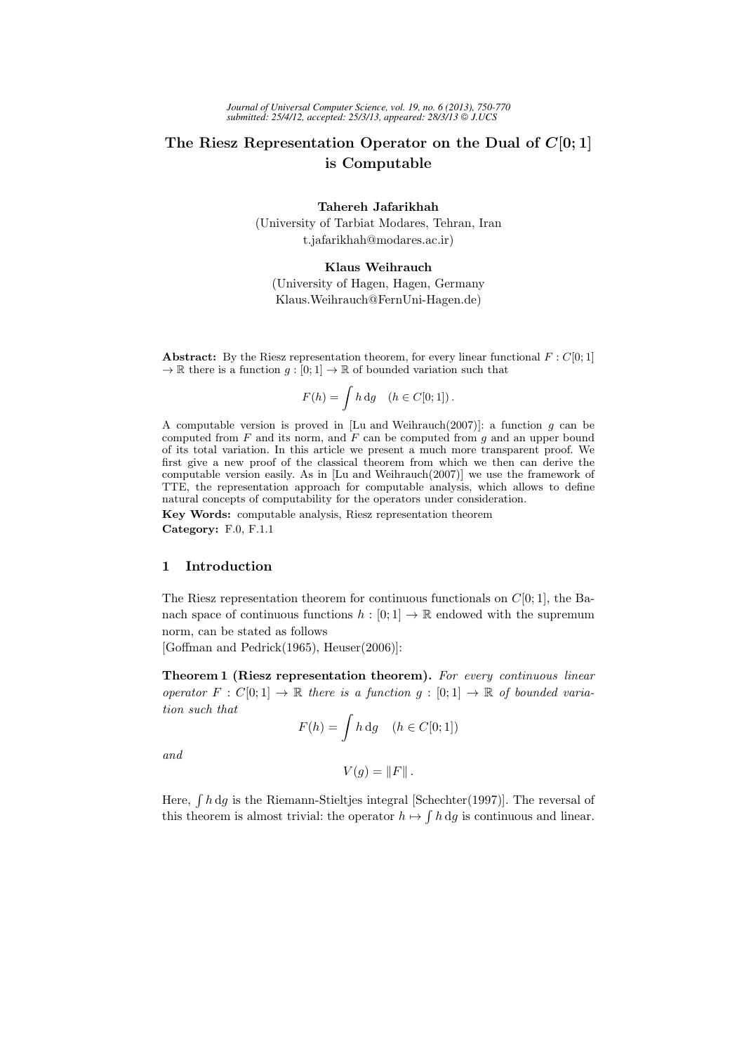# The Riesz Representation Operator on the Dual of  $C[0;1]$ is Computable

Tahereh Jafarikhah (University of Tarbiat Modares, Tehran, Iran t.jafarikhah@modares.ac.ir)

Klaus Weihrauch

(University of Hagen, Hagen, Germany Klaus.Weihrauch@FernUni-Hagen.de)

**Abstract:** By the Riesz representation theorem, for every linear functional  $F : C[0, 1]$  $\rightarrow \mathbb{R}$  there is a function  $g : [0; 1] \rightarrow \mathbb{R}$  of bounded variation such that

$$
F(h) = \int h \, dg \quad (h \in C[0; 1]).
$$

A computable version is proved in [Lu and Weihrauch(2007)]: a function q can be computed from  $F$  and its norm, and  $F$  can be computed from  $g$  and an upper bound of its total variation. In this article we present a much more transparent proof. We first give a new proof of the classical theorem from which we then can derive the computable version easily. As in [Lu and Weihrauch(2007)] we use the framework of TTE, the representation approach for computable analysis, which allows to define natural concepts of computability for the operators under consideration.

Key Words: computable analysis, Riesz representation theorem Category: F.0, F.1.1

# 1 Introduction

The Riesz representation theorem for continuous functionals on  $C[0; 1]$ , the Banach space of continuous functions  $h : [0, 1] \to \mathbb{R}$  endowed with the supremum norm, can be stated as follows

[Goffman and Pedrick(1965), Heuser(2006)]:

Theorem 1 (Riesz representation theorem). For every continuous linear operator  $F: C[0; 1] \to \mathbb{R}$  there is a function  $g: [0; 1] \to \mathbb{R}$  of bounded variation such that

$$
F(h) = \int h \, \mathrm{d}g \quad (h \in C[0; 1])
$$

and

$$
V(g) = ||F||.
$$

Here,  $\int h \, dg$  is the Riemann-Stieltjes integral [Schechter(1997)]. The reversal of this theorem is almost trivial: the operator  $h \mapsto \int h \, dg$  is continuous and linear.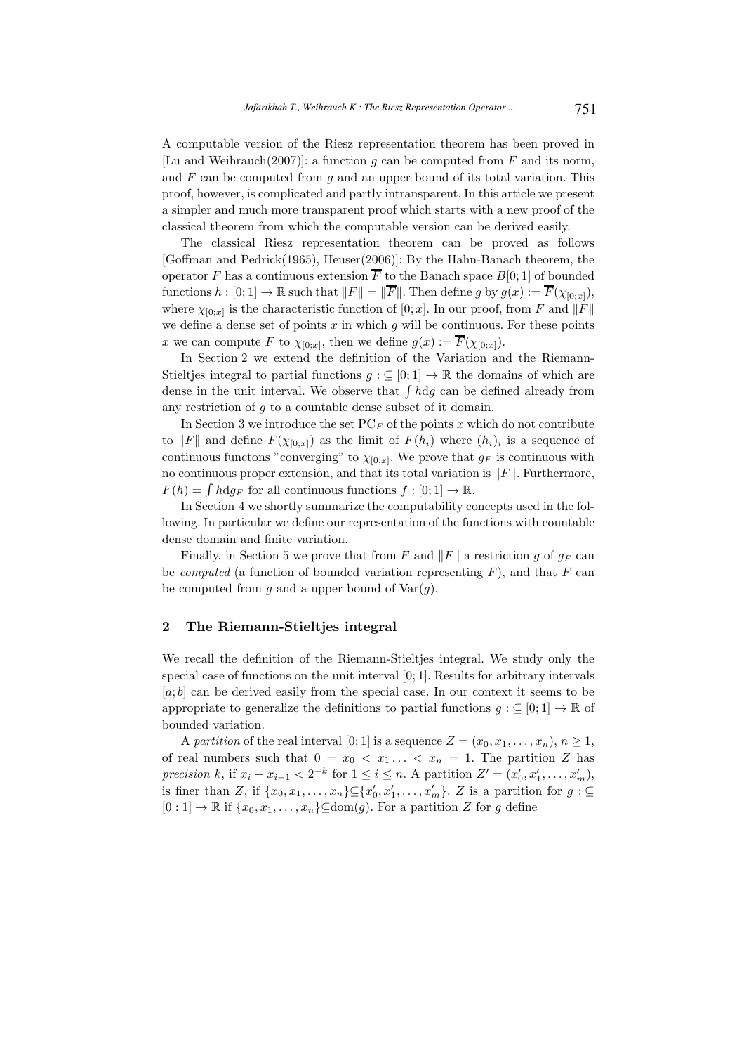A computable version of the Riesz representation theorem has been proved in [Lu and Weihrauch(2007)]: a function q can be computed from F and its norm, and  $F$  can be computed from  $g$  and an upper bound of its total variation. This proof, however, is complicated and partly intransparent. In this article we present a simpler and much more transparent proof which starts with a new proof of the classical theorem from which the computable version can be derived easily.

The classical Riesz representation theorem can be proved as follows [Goffman and Pedrick(1965), Heuser(2006)]: By the Hahn-Banach theorem, the operator F has a continuous extension  $\overline{F}$  to the Banach space  $B[0;1]$  of bounded functions  $h : [0; 1] \to \mathbb{R}$  such that  $||F|| = ||\overline{F}||$ . Then define g by  $g(x) := \overline{F}(\chi_{[0,x]})$ , where  $\chi_{[0;x]}$  is the characteristic function of  $[0;x]$ . In our proof, from F and  $||F||$ we define a dense set of points  $x$  in which  $g$  will be continuous. For these points x we can compute F to  $\chi_{[0;x]}$ , then we define  $g(x) := F(\chi_{[0;x]})$ .

In Section 2 we extend the definition of the Variation and the Riemann-Stieltjes integral to partial functions  $g : \subseteq [0;1] \to \mathbb{R}$  the domains of which are dense in the unit interval. We observe that  $\int h \, dg$  can be defined already from any restriction of g to a countable dense subset of it domain.

In Section 3 we introduce the set  $PC_F$  of the points x which do not contribute to  $||F||$  and define  $F(\chi_{[0;x]})$  as the limit of  $F(h_i)$  where  $(h_i)_i$  is a sequence of continuous functons "converging" to  $\chi_{[0,x]}$ . We prove that  $g_F$  is continuous with no continuous proper extension, and that its total variation is  $\Vert F \Vert$ . Furthermore,  $F(h) = \int h \, dg_F$  for all continuous functions  $f : [0; 1] \to \mathbb{R}$ .

In Section 4 we shortly summarize the computability concepts used in the following. In particular we define our representation of the functions with countable dense domain and finite variation.

Finally, in Section 5 we prove that from F and  $||F||$  a restriction g of  $q_F$  can be *computed* (a function of bounded variation representing  $F$ ), and that  $F$  can be computed from g and a upper bound of  $Var(g)$ .

#### 2 The Riemann-Stieltjes integral

We recall the definition of the Riemann-Stieltjes integral. We study only the special case of functions on the unit interval [0; 1]. Results for arbitrary intervals  $[a, b]$  can be derived easily from the special case. In our context it seems to be appropriate to generalize the definitions to partial functions  $g : \subseteq [0,1] \to \mathbb{R}$  of bounded variation.

A partition of the real interval [0; 1] is a sequence  $Z = (x_0, x_1, \ldots, x_n), n \ge 1$ , of real numbers such that  $0 = x_0 < x_1 ... < x_n = 1$ . The partition Z has precision k, if  $x_i - x_{i-1} < 2^{-k}$  for  $1 \leq i \leq n$ . A partition  $Z' = (x'_0, x'_1, \ldots, x'_m)$ , is finer than Z, if  $\{x_0, x_1, \ldots, x_n\} \subseteq \{x'_0, x'_1, \ldots, x'_m\}$ . Z is a partition for  $g: \subseteq$  $[0:1] \to \mathbb{R}$  if  $\{x_0, x_1, \ldots, x_n\} \subset \text{dom}(q)$ . For a partition Z for q define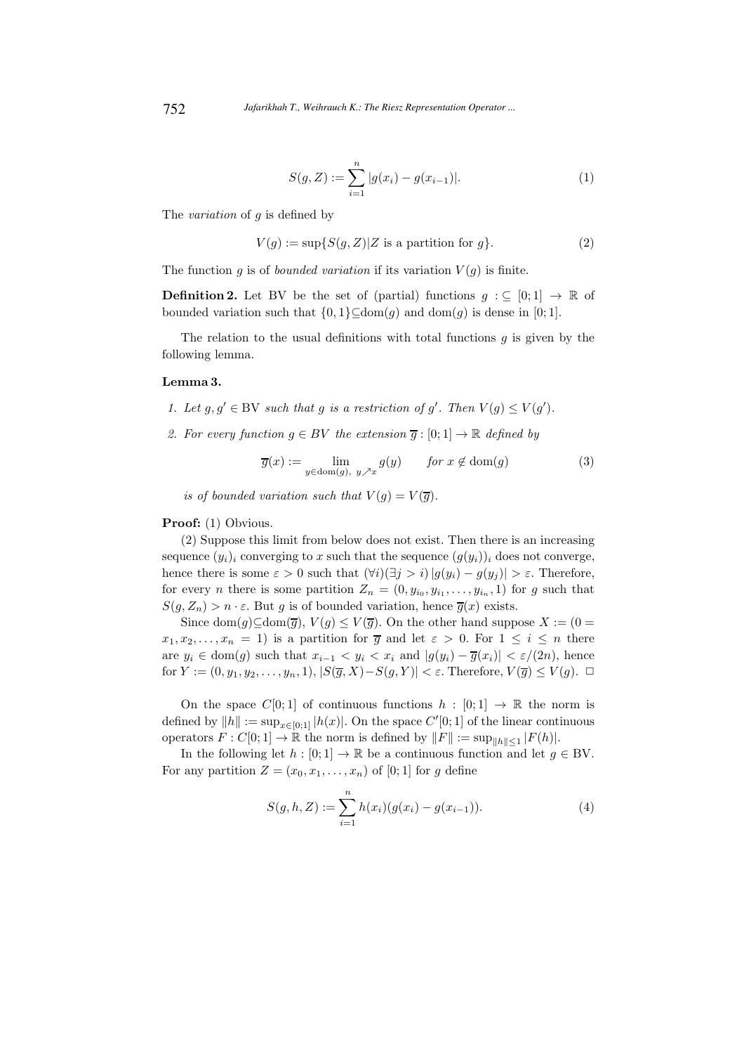$$
S(g, Z) := \sum_{i=1}^{n} |g(x_i) - g(x_{i-1})|.
$$
 (1)

The variation of g is defined by

$$
V(g) := \sup\{S(g, Z)|Z \text{ is a partition for } g\}. \tag{2}
$$

The function q is of *bounded variation* if its variation  $V(q)$  is finite.

**Definition 2.** Let BV be the set of (partial) functions  $g : \subseteq [0,1] \rightarrow \mathbb{R}$  of bounded variation such that  $\{0, 1\} \subseteq \text{dom}(g)$  and  $\text{dom}(g)$  is dense in [0; 1].

The relation to the usual definitions with total functions  $q$  is given by the following lemma.

#### Lemma 3.

- 1. Let  $g, g' \in BV$  such that g is a restriction of g'. Then  $V(g) \leq V(g')$ .
- 2. For every function  $g \in BV$  the extension  $\overline{g} : [0;1] \to \mathbb{R}$  defined by

$$
\overline{g}(x) := \lim_{y \in \text{dom}(g), y \nearrow x} g(y) \qquad \text{for } x \notin \text{dom}(g)
$$
 (3)

is of bounded variation such that  $V(g) = V(\overline{g}).$ 

#### Proof: (1) Obvious.

(2) Suppose this limit from below does not exist. Then there is an increasing sequence  $(y_i)_i$  converging to x such that the sequence  $(q(y_i))_i$  does not converge, hence there is some  $\varepsilon > 0$  such that  $(\forall i)(\exists j > i) |g(y_i) - g(y_j)| > \varepsilon$ . Therefore, for every *n* there is some partition  $Z_n = (0, y_{i_0}, y_{i_1}, \ldots, y_{i_n}, 1)$  for g such that  $S(g, Z_n) > n \cdot \varepsilon$ . But g is of bounded variation, hence  $\overline{g}(x)$  exists.

Since dom(g)⊆dom( $\overline{g}$ ),  $V(g) \leq V(\overline{g})$ . On the other hand suppose  $X := (0 =$  $x_1, x_2, \ldots, x_n = 1$ ) is a partition for  $\overline{g}$  and let  $\varepsilon > 0$ . For  $1 \leq i \leq n$  there are  $y_i \in \text{dom}(g)$  such that  $x_{i-1} < y_i < x_i$  and  $|g(y_i) - \overline{g}(x_i)| < \varepsilon/(2n)$ , hence for  $Y := (0, y_1, y_2, \ldots, y_n, 1), |S(\overline{g}, X) - S(g, Y)| < \varepsilon$ . Therefore,  $V(\overline{g}) \le V(g)$ .  $\Box$ 

On the space  $C[0;1]$  of continuous functions  $h : [0;1] \rightarrow \mathbb{R}$  the norm is defined by  $||h|| := \sup_{x \in [0,1]} |h(x)|$ . On the space  $C'[0;1]$  of the linear continuous operators  $F: C[0;1] \to \mathbb{R}$  the norm is defined by  $||F|| := \sup_{||h|| \leq 1} |F(h)|$ .

In the following let  $h : [0; 1] \to \mathbb{R}$  be a continuous function and let  $g \in BV$ . For any partition  $Z = (x_0, x_1, \ldots, x_n)$  of [0; 1] for g define

$$
S(g, h, Z) := \sum_{i=1}^{n} h(x_i)(g(x_i) - g(x_{i-1})).
$$
\n(4)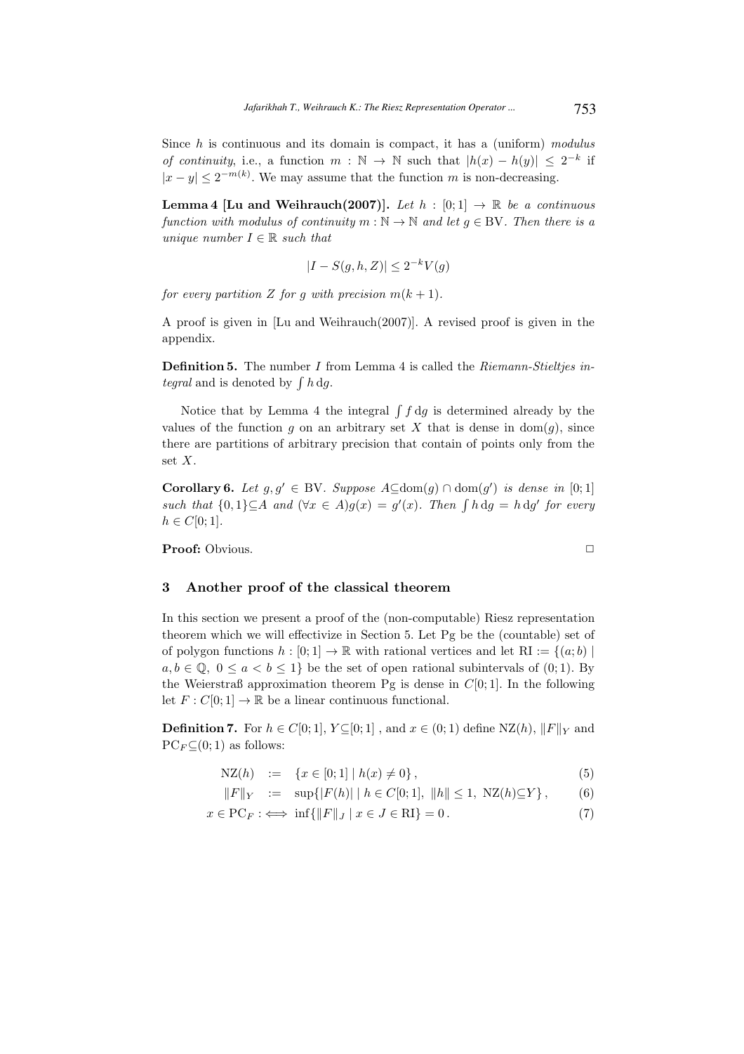Since  $h$  is continuous and its domain is compact, it has a (uniform) modulus of continuity, i.e., a function  $m : \mathbb{N} \to \mathbb{N}$  such that  $|h(x) - h(y)| \leq 2^{-k}$  if  $|x-y| \leq 2^{-m(k)}$ . We may assume that the function m is non-decreasing.

**Lemma 4 [Lu and Weihrauch(2007)].** Let  $h : [0;1] \rightarrow \mathbb{R}$  be a continuous function with modulus of continuity  $m : \mathbb{N} \to \mathbb{N}$  and let  $g \in BV$ . Then there is a unique number  $I \in \mathbb{R}$  such that

$$
|I - S(g, h, Z)| \le 2^{-k} V(g)
$$

for every partition Z for g with precision  $m(k + 1)$ .

A proof is given in [Lu and Weihrauch(2007)]. A revised proof is given in the appendix.

**Definition 5.** The number  $I$  from Lemma 4 is called the  $Riemann-Stieltjes$  integral and is denoted by  $\int h \, dg$ .

Notice that by Lemma 4 the integral  $\int f \, dg$  is determined already by the values of the function g on an arbitrary set X that is dense in  $dom(g)$ , since there are partitions of arbitrary precision that contain of points only from the set X.

**Corollary 6.** Let  $g, g' \in BV$ . Suppose  $A ⊆ dom(g) ∩ dom(g')$  is dense in [0; 1] such that  $\{0,1\} \subseteq A$  and  $(\forall x \in A)g(x) = g'(x)$ . Then  $\int h \, dg = h \, dg'$  for every  $h \in C[0;1].$ 

Proof: Obvious. ✷

#### 3 Another proof of the classical theorem

In this section we present a proof of the (non-computable) Riesz representation theorem which we will effectivize in Section 5. Let Pg be the (countable) set of of polygon functions  $h : [0; 1] \to \mathbb{R}$  with rational vertices and let  $\text{RI} := \{(a; b) \mid$  $a, b \in \mathbb{Q}, 0 \le a < b \le 1$  be the set of open rational subintervals of  $(0, 1)$ . By the Weierstraß approximation theorem Pg is dense in  $C[0; 1]$ . In the following let  $F: C[0;1] \to \mathbb{R}$  be a linear continuous functional.

**Definition 7.** For  $h \in C[0,1], Y \subseteq [0,1]$ , and  $x \in (0,1)$  define  $NZ(h), ||F||_Y$  and  $PC_F \subseteq (0, 1)$  as follows:

$$
NZ(h) := \{x \in [0;1] \mid h(x) \neq 0\},\tag{5}
$$

$$
||F||_Y := \sup\{|F(h)| \mid h \in C[0;1], ||h|| \le 1, \text{ NZ}(h) \subseteq Y\}, \quad (6)
$$

$$
x \in \text{PC}_F : \iff \inf \{ \|F\|_J \mid x \in J \in \text{RI} \} = 0. \tag{7}
$$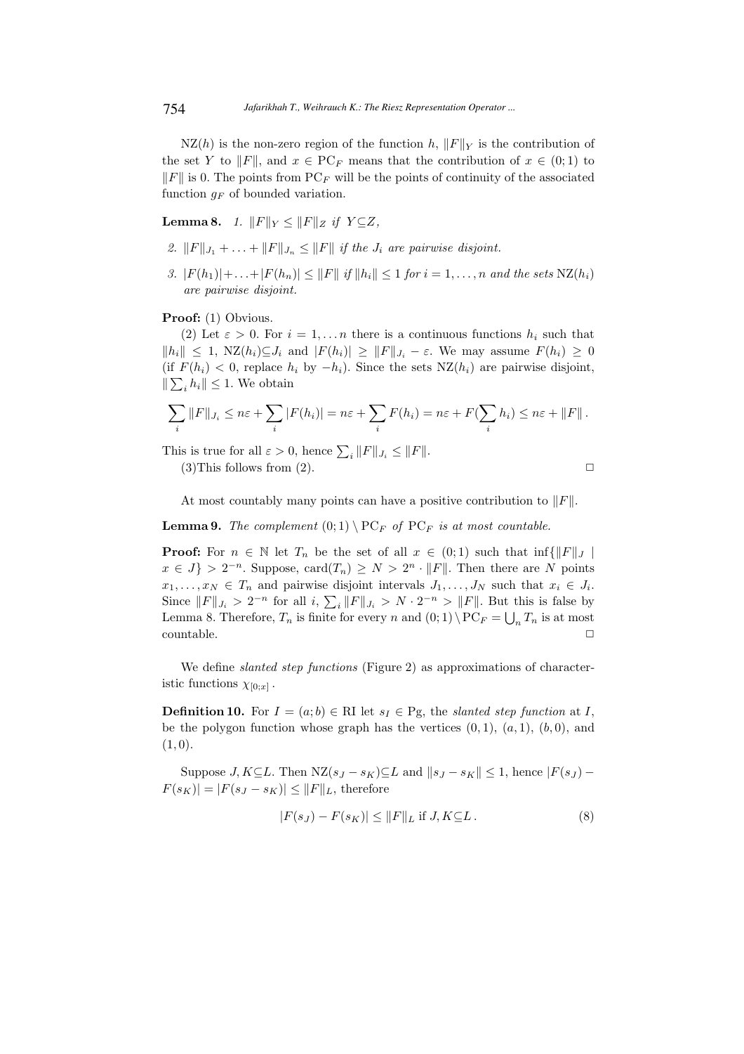$NZ(h)$  is the non-zero region of the function h,  $||F||_Y$  is the contribution of the set Y to  $||F||$ , and  $x \in PC_F$  means that the contribution of  $x \in (0,1)$  to  $||F||$  is 0. The points from PC<sub>F</sub> will be the points of continuity of the associated function  $g_F$  of bounded variation.

**Lemma 8.** 1.  $||F||_Y \le ||F||_Z$  if  $Y \subseteq Z$ ,

- 2.  $||F||_{J_1} + \ldots + ||F||_{J_n} \leq ||F||$  if the  $J_i$  are pairwise disjoint.
- 3.  $|F(h_1)|+\ldots+|F(h_n)| \leq ||F|| \text{ if } ||h_i|| \leq 1 \text{ for } i=1,\ldots,n \text{ and the sets } \text{NZ}(h_i)$ are pairwise disjoint.

Proof: (1) Obvious.

(2) Let  $\varepsilon > 0$ . For  $i = 1, \ldots n$  there is a continuous functions  $h_i$  such that  $||h_i|| \leq 1$ ,  $NZ(h_i) \subseteq J_i$  and  $|F(h_i)| \geq ||F||_{J_i} - \varepsilon$ . We may assume  $F(h_i) \geq 0$ (if  $F(h_i) < 0$ , replace  $h_i$  by  $-h_i$ ). Since the sets  $NZ(h_i)$  are pairwise disjoint,  $\|\sum_i h_i\| \leq 1$ . We obtain

$$
\sum_{i} ||F||_{J_i} \leq n\varepsilon + \sum_{i} |F(h_i)| = n\varepsilon + \sum_{i} F(h_i) = n\varepsilon + F(\sum_{i} h_i) \leq n\varepsilon + ||F||.
$$

This is true for all  $\varepsilon > 0$ , hence  $\sum_{i} ||F||_{J_i} \leq ||F||$ .

 $(3)$ This follows from  $(2)$ .

$$
\qquad \qquad \Box
$$

At most countably many points can have a positive contribution to  $||F||$ .

**Lemma 9.** The complement  $(0,1) \setminus PC_F$  of  $PC_F$  is at most countable.

**Proof:** For  $n \in \mathbb{N}$  let  $T_n$  be the set of all  $x \in (0,1)$  such that  $\inf\{\|F\|_J \mid$  $x \in J$  >  $2^{-n}$ . Suppose, card $(T_n) \geq N > 2^n \cdot ||F||$ . Then there are N points  $x_1, \ldots, x_N \in T_n$  and pairwise disjoint intervals  $J_1, \ldots, J_N$  such that  $x_i \in J_i$ . Since  $||F||_{J_i} > 2^{-n}$  for all  $i, \sum_i ||F||_{J_i} > N \cdot 2^{-n} > ||F||$ . But this is false by Lemma 8. Therefore,  $T_n$  is finite for every n and  $(0, 1) \setminus PC_F = \bigcup_n T_n$  is at most countable.  $\hfill \square$ 

We define *slanted step functions* (Figure 2) as approximations of characteristic functions  $\chi_{[0;x]}$ .

**Definition 10.** For  $I = (a, b) \in \mathbb{R}$ I let  $s_I \in \mathbb{P}$ g, the *slanted step function* at I, be the polygon function whose graph has the vertices  $(0, 1)$ ,  $(a, 1)$ ,  $(b, 0)$ , and  $(1, 0).$ 

Suppose J, K⊆L. Then  $NZ(s_J - s_K) \subseteq L$  and  $||s_J - s_K|| \leq 1$ , hence  $|F(s_J) |F(s_K)| = |F(s_J - s_K)| \leq ||F||_L$ , therefore

$$
|F(s_J) - F(s_K)| \le ||F||_L \text{ if } J, K \subseteq L. \tag{8}
$$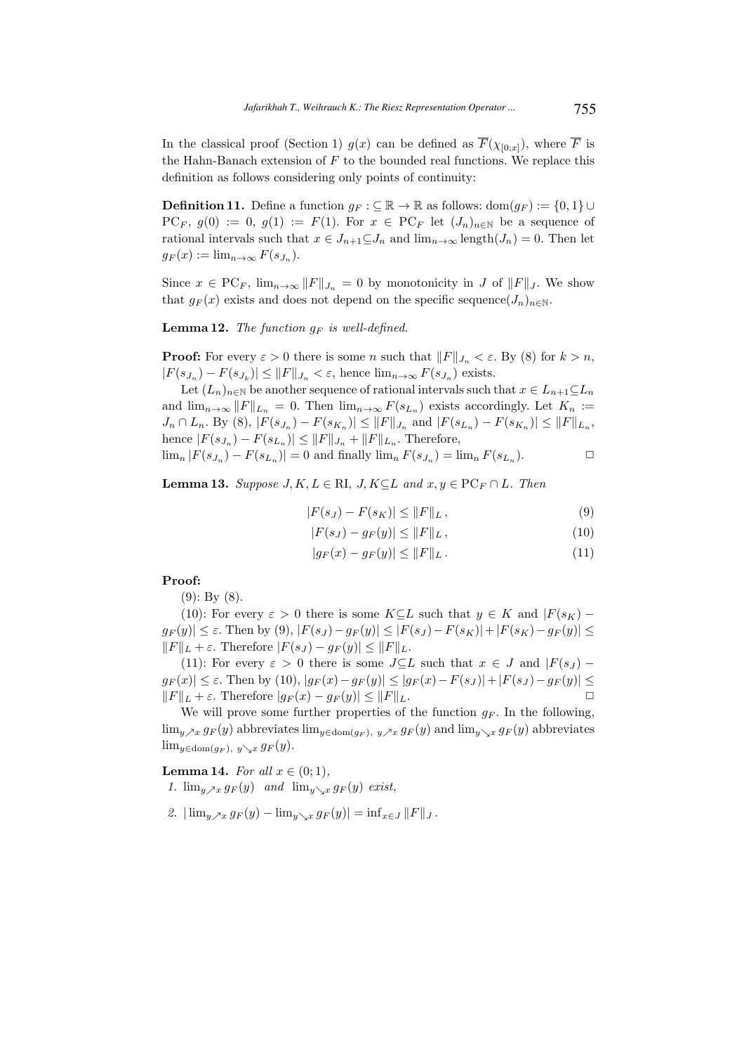In the classical proof (Section 1)  $g(x)$  can be defined as  $\overline{F}(\chi_{[0,x]})$ , where  $\overline{F}$  is the Hahn-Banach extension of  $F$  to the bounded real functions. We replace this definition as follows considering only points of continuity:

**Definition 11.** Define a function  $q_F : \subseteq \mathbb{R} \to \mathbb{R}$  as follows: dom $(q_F) := \{0, 1\} \cup$  $PC_F$ ,  $g(0) := 0$ ,  $g(1) := F(1)$ . For  $x \in PC_F$  let  $(J_n)_{n \in \mathbb{N}}$  be a sequence of rational intervals such that  $x \in J_{n+1} \subseteq J_n$  and  $\lim_{n \to \infty} \text{length}(J_n) = 0$ . Then let  $g_F(x) := \lim_{n \to \infty} F(s_{J_n}).$ 

Since  $x \in \text{PC}_F$ ,  $\lim_{n\to\infty} ||F||_{J_n} = 0$  by monotonicity in J of  $||F||_J$ . We show that  $g_F(x)$  exists and does not depend on the specific sequence $(J_n)_{n\in\mathbb{N}}$ .

**Lemma 12.** The function  $g_F$  is well-defined.

**Proof:** For every  $\varepsilon > 0$  there is some n such that  $||F||_{J_n} < \varepsilon$ . By (8) for  $k > n$ ,  $|F(s_{J_n}) - F(s_{J_k})| \leq ||F||_{J_n} < \varepsilon$ , hence  $\lim_{n \to \infty} F(s_{J_n})$  exists.

Let  $(L_n)_{n\in\mathbb{N}}$  be another sequence of rational intervals such that  $x \in L_{n+1} \subseteq L_n$ and  $\lim_{n\to\infty} ||F||_{L_n} = 0$ . Then  $\lim_{n\to\infty} F(s_{L_n})$  exists accordingly. Let  $K_n :=$  $J_n \cap L_n$ . By (8),  $|F(s_{J_n}) - F(s_{K_n})| \leq ||F||_{J_n}$  and  $|F(s_{L_n}) - F(s_{K_n})| \leq ||F||_{L_n}$ , hence  $|F(s_{J_n}) - F(s_{L_n})| \leq ||F||_{J_n} + ||F||_{L_n}$ . Therefore,

 $\lim_{n} |F(s_{J_n}) - F(s_{L_n})| = 0$  and finally  $\lim_{n} F(s_{J_n}) = \lim_{n} F(s_{L_n}).$ 

**Lemma 13.** Suppose  $J, K, L \in \mathbb{R}$ ,  $J, K \subseteq L$  and  $x, y \in \text{PC}_F \cap L$ . Then

$$
|F(s_J) - F(s_K)| \le ||F||_L, \tag{9}
$$

$$
|F(s_J) - g_F(y)| \le ||F||_L, \tag{10}
$$

$$
|g_F(x) - g_F(y)| \le \|F\|_L. \tag{11}
$$

# Proof:

(9): By (8).

(10): For every  $\varepsilon > 0$  there is some  $K \subset L$  such that  $y \in K$  and  $|F(s_K)$  $g_F(y) \leq \varepsilon$ . Then by (9),  $|F(s_J) - g_F(y)| \leq |F(s_J) - F(s_K)| + |F(s_K) - g_F(y)| \leq$  $||F||_L + \varepsilon$ . Therefore  $|F(s_J) - g_F(y)| \le ||F||_L$ .

(11): For every  $\varepsilon > 0$  there is some  $J\subseteq L$  such that  $x \in J$  and  $|F(s_J) |g_F(x)| \leq \varepsilon$ . Then by (10),  $|g_F(x)-g_F(y)| \leq |g_F(x)-F(s_J)|+|F(s_J)-g_F(y)| \leq$  $||F||_L + \varepsilon$ . Therefore  $|g_F(x) - g_F(y)| \leq ||F||_L$ .

We will prove some further properties of the function  $g_F$ . In the following,  $\lim_{y\nearrow x} g_F(y)$  abbreviates  $\lim_{y\in \text{dom}(g_F), y\nearrow x} g_F(y)$  and  $\lim_{y\searrow x} g_F(y)$  abbreviates  $\lim_{y \in \text{dom}(g_F), y \searrow x} g_F(y).$ 

**Lemma 14.** For all  $x \in (0,1)$ ,

- 1.  $\lim_{y \to x} g_F(y)$  and  $\lim_{y \to x} g_F(y)$  exist,
- 2.  $|\lim_{y\to x} g_F(y) \lim_{y\to x} g_F(y)| = \inf_{x\in J} ||F||_J$ .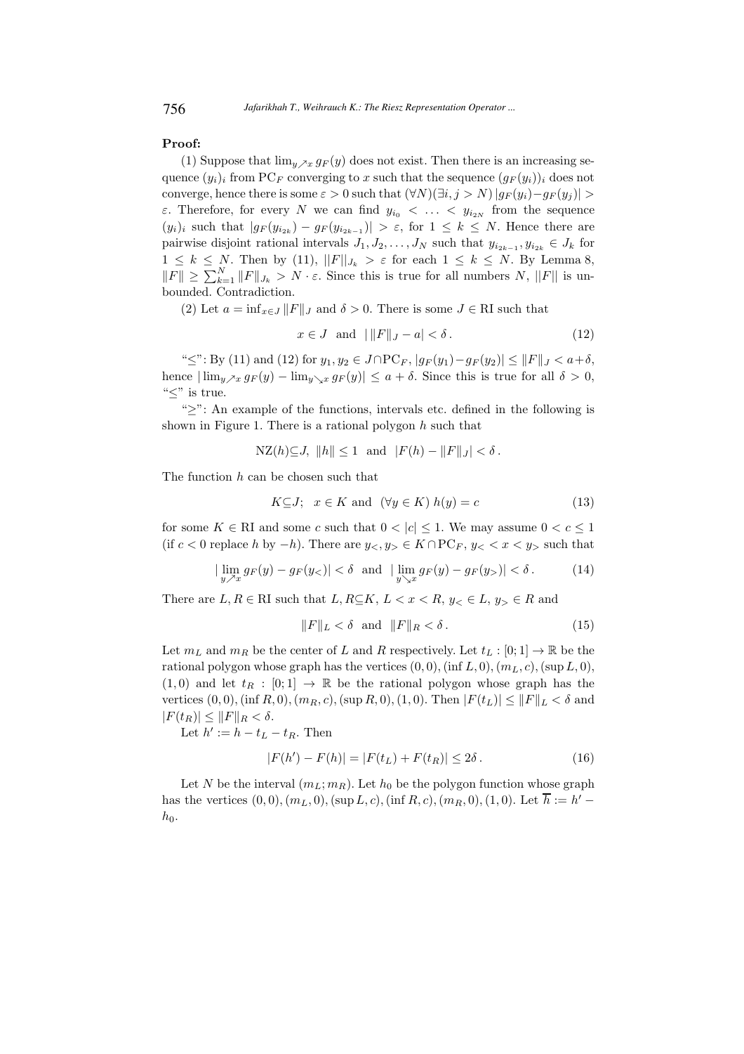### Proof:

(1) Suppose that  $\lim_{y\to x} g_F(y)$  does not exist. Then there is an increasing sequence  $(y_i)_i$  from PC<sub>F</sub> converging to x such that the sequence  $(g_F(y_i))_i$  does not converge, hence there is some  $\varepsilon > 0$  such that  $(\forall N)(\exists i, j > N) |g_F(y_i) - g_F(y_j)| >$ ε. Therefore, for every N we can find  $y_{i_0} < \ldots < y_{i_{2N}}$  from the sequence  $(y_i)_i$  such that  $|g_F(y_{i_{2k}}) - g_F(y_{i_{2k-1}})| > \varepsilon$ , for  $1 \leq k \leq N$ . Hence there are pairwise disjoint rational intervals  $J_1, J_2, \ldots, J_N$  such that  $y_{i_{2k-1}}, y_{i_{2k}} \in J_k$  for  $1 \leq k \leq N$ . Then by (11),  $||F||_{J_k} > \varepsilon$  for each  $1 \leq k \leq N$ . By Lemma 8,  $||F|| \geq \sum_{k=1}^{N} ||F||_{J_k} > N \cdot \varepsilon$ . Since this is true for all numbers N,  $||F||$  is unbounded. Contradiction.

(2) Let  $a = \inf_{x \in J} ||F||_J$  and  $\delta > 0$ . There is some  $J \in \mathbb{R}$ I such that

$$
x \in J \quad \text{and} \quad ||F||_J - a| < \delta \,. \tag{12}
$$

" $\leq$ ": By (11) and (12) for  $y_1, y_2 \in J \cap PC_F$ ,  $|g_F(y_1) - g_F(y_2)| \leq ||F||_J < a+\delta$ , hence  $|\lim_{y\to x} g_F(y) - \lim_{y\to x} g_F(y)| \le a + \delta$ . Since this is true for all  $\delta > 0$ , "≤" is true.

"≥": An example of the functions, intervals etc. defined in the following is shown in Figure 1. There is a rational polygon  $h$  such that

$$
NZ(h) \subseteq J, ||h|| \le 1 \text{ and } |F(h) - ||F||_J| < \delta.
$$

The function h can be chosen such that

$$
K\subseteq J; \quad x \in K \text{ and } (\forall y \in K) \ h(y) = c \tag{13}
$$

for some  $K \in \mathbb{R}$ I and some c such that  $0 < |c| \leq 1$ . We may assume  $0 < c \leq 1$ (if  $c < 0$  replace h by  $-h$ ). There are  $y < y > \in K \cap PC_F$ ,  $y < x < y >$  such that

$$
|\lim_{y \nearrow x} g_F(y) - g_F(y_<)| < \delta \text{ and } |\lim_{y \searrow x} g_F(y) - g_F(y_>)| < \delta.
$$
 (14)

There are  $L, R \in \mathbb{R}$ I such that  $L, R \subseteq K, L < x < R, y < E, y > R$  and

$$
||F||_L < \delta \text{ and } ||F||_R < \delta. \tag{15}
$$

Let  $m_L$  and  $m_R$  be the center of L and R respectively. Let  $t_L : [0; 1] \to \mathbb{R}$  be the rational polygon whose graph has the vertices  $(0, 0)$ , (inf L, 0),  $(m<sub>L</sub>, c)$ , (sup L, 0),  $(1, 0)$  and let  $t_R : [0; 1] \rightarrow \mathbb{R}$  be the rational polygon whose graph has the vertices  $(0, 0)$ , (inf R, 0),  $(m_R, c)$ , (sup R, 0), (1, 0). Then  $|F(t_L)| \leq ||F||_L < \delta$  and  $|F(t_R)| \leq ||F||_R < \delta.$ 

Let  $h' := h - t_L - t_R$ . Then

$$
|F(h') - F(h)| = |F(t_L) + F(t_R)| \le 2\delta.
$$
 (16)

Let N be the interval  $(m_L; m_R)$ . Let  $h_0$  be the polygon function whose graph has the vertices  $(0,0), (m_L, 0), (\sup L, c), (\inf R, c), (m_R, 0), (1, 0)$ . Let  $\overline{h} := h'$  $h_0$ .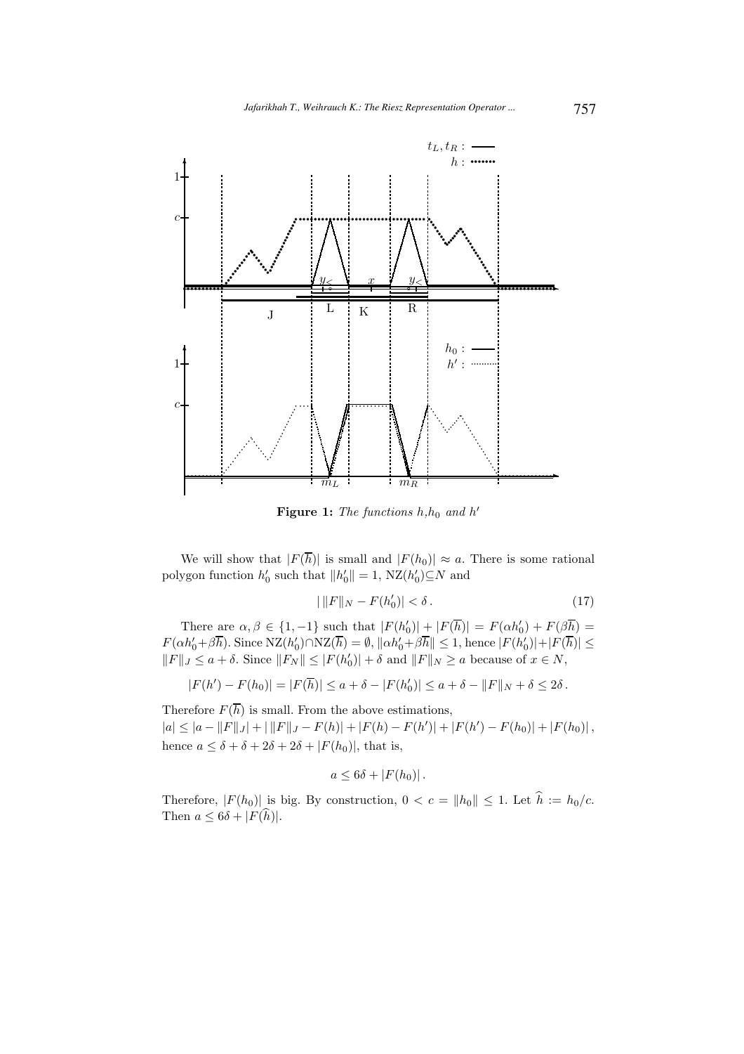

Figure 1: The functions  $h, h_0$  and  $h'$ 

We will show that  $|F(\overline{h})|$  is small and  $|F(h_0)| \approx a$ . There is some rational polygon function  $h'_0$  such that  $||h'_0|| = 1$ ,  $NZ(h'_0) \subseteq N$  and

$$
|\t||F||_N - F(h'_0)| < \delta. \tag{17}
$$

There are  $\alpha, \beta \in \{1, -1\}$  such that  $|F(h_0')| + |F(\overline{h})| = F(\alpha h_0') + F(\beta \overline{h}) =$  $F(\alpha h_0' + \beta \overline{h})$ . Since  $NZ(h_0') \cap NZ(\overline{h}) = \emptyset$ ,  $\|\alpha h_0' + \beta \overline{h}\| \leq 1$ , hence  $|F(h_0')| + |F(\overline{h})| \leq$  $||F||_J \le a + \delta$ . Since  $||F_N|| \le |F(h'_0)| + \delta$  and  $||F||_N \ge a$  because of  $x \in N$ ,

$$
|F(h') - F(h_0)| = |F(\overline{h})| \le a + \delta - |F(h'_0)| \le a + \delta - ||F||_N + \delta \le 2\delta.
$$

Therefore  $F(\overline{h})$  is small. From the above estimations,  $|a| \leq |a - ||F||_J + ||F||_J - F(h) + |F(h) - F(h')| + |F(h') - F(h_0)| + |F(h_0)|,$ hence  $a \leq \delta + \delta + 2\delta + 2\delta + |F(h_0)|$ , that is,

$$
a\leq 6\delta+|F(h_0)|.
$$

Therefore,  $|F(h_0)|$  is big. By construction,  $0 < c = ||h_0|| \leq 1$ . Let  $\hat{h} := h_0/c$ . Then  $a \leq 6\delta + |F(\widehat{h})|$ .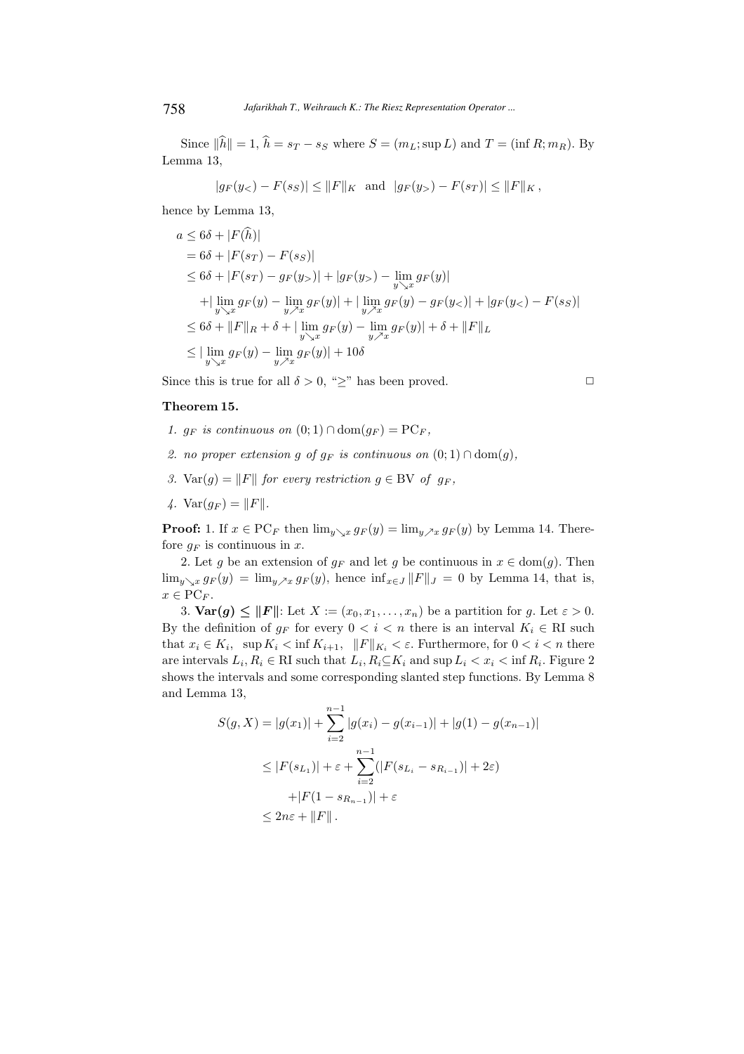Since  $\|\hat{h}\| = 1$ ,  $\hat{h} = s_T - s_S$  where  $S = (m_L; \sup L)$  and  $T = (\inf R; m_R)$ . By Lemma 13,

$$
|g_F(y_<) - F(s_S)| \le ||F||_K
$$
 and  $|g_F(y_>) - F(s_T)| \le ||F||_K$ ,

hence by Lemma 13,

$$
a \leq 6\delta + |F(\hat{h})|
$$
  
\n
$$
= 6\delta + |F(s_T) - F(s_S)|
$$
  
\n
$$
\leq 6\delta + |F(s_T) - g_F(y_>)| + |g_F(y_>) - \lim_{y \searrow x} g_F(y)|
$$
  
\n
$$
+ |\lim_{y \searrow x} g_F(y) - \lim_{y \nearrow x} g_F(y)| + |\lim_{y \nearrow x} g_F(y) - g_F(y_>)| + |g_F(y_>) - F(s_S)|
$$
  
\n
$$
\leq 6\delta + ||F||_R + \delta + |\lim_{y \searrow x} g_F(y) - \lim_{y \nearrow x} g_F(y)| + \delta + ||F||_L
$$
  
\n
$$
\leq |\lim_{y \searrow x} g_F(y) - \lim_{y \nearrow x} g_F(y)| + 10\delta
$$

Since this is true for all  $\delta > 0$ , " $\geq$ " has been proved.

## Theorem 15.

- 1.  $g_F$  is continuous on  $(0,1) \cap \text{dom}(g_F) = \text{PC}_F$ ,
- 2. no proper extension g of  $g_F$  is continuous on  $(0, 1) \cap \text{dom}(g)$ ,
- 3. Var(g) = ||F|| for every restriction  $g \in BV$  of  $g_F$ ,
- 4.  $Var(q_F) = ||F||$ .

**Proof:** 1. If  $x \in PC_F$  then  $\lim_{y\to x} g_F(y) = \lim_{y\to x} g_F(y)$  by Lemma 14. Therefore  $q_F$  is continuous in x.

2. Let g be an extension of  $g_F$  and let g be continuous in  $x \in \text{dom}(g)$ . Then  $\lim_{y\searrow x} g_F(y) = \lim_{y\nearrow x} g_F(y)$ , hence  $\inf_{x\in J} ||F||_J = 0$  by Lemma 14, that is,  $x \in \mathrm{PC}_F$ .

3.  $\text{Var}(g) \leq ||F||$ : Let  $X := (x_0, x_1, \ldots, x_n)$  be a partition for g. Let  $\varepsilon > 0$ . By the definition of  $g_F$  for every  $0 < i < n$  there is an interval  $K_i \in \mathbb{R}$  such that  $x_i \in K_i$ , sup  $K_i < \inf K_{i+1}$ ,  $||F||_{K_i} < \varepsilon$ . Furthermore, for  $0 < i < n$  there are intervals  $L_i, R_i \in \mathbb{R}$ I such that  $L_i, R_i \subseteq K_i$  and sup  $L_i < x_i < \inf R_i$ . Figure 2 shows the intervals and some corresponding slanted step functions. By Lemma 8 and Lemma 13,

$$
S(g, X) = |g(x_1)| + \sum_{i=2}^{n-1} |g(x_i) - g(x_{i-1})| + |g(1) - g(x_{n-1})|
$$
  
\n
$$
\leq |F(s_{L_1})| + \varepsilon + \sum_{i=2}^{n-1} (|F(s_{L_i} - s_{R_{i-1}})| + 2\varepsilon)
$$
  
\n
$$
+ |F(1 - s_{R_{n-1}})| + \varepsilon
$$
  
\n
$$
\leq 2n\varepsilon + ||F||.
$$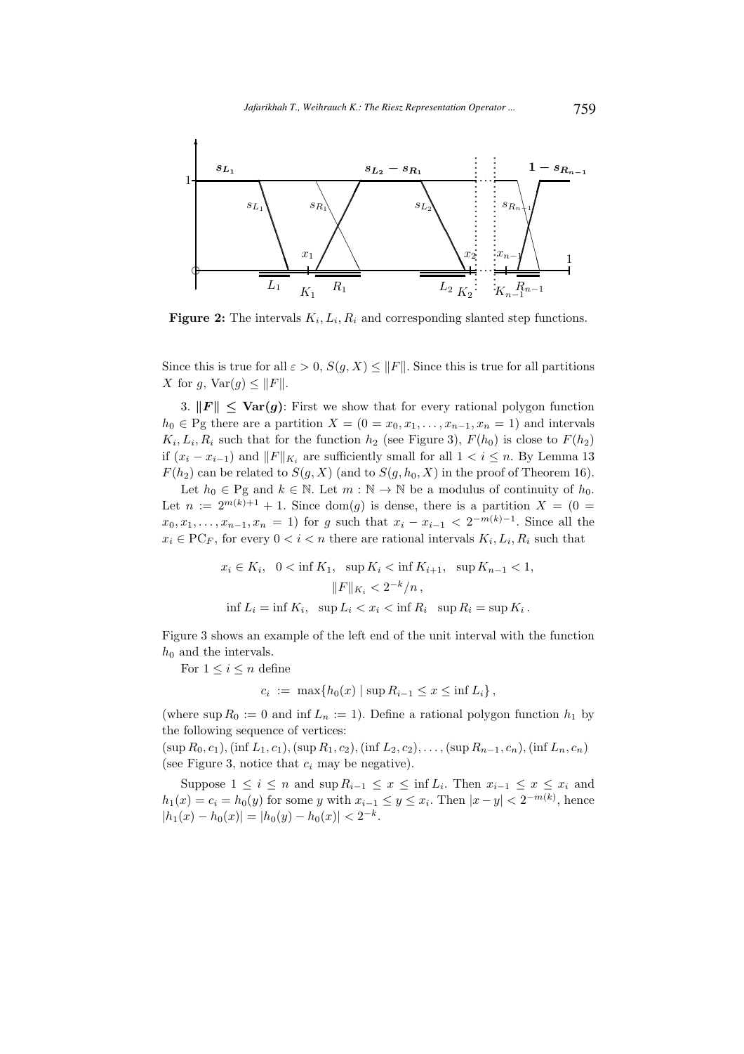

**Figure 2:** The intervals  $K_i, L_i, R_i$  and corresponding slanted step functions.

Since this is true for all  $\varepsilon > 0$ ,  $S(g, X) \leq ||F||$ . Since this is true for all partitions X for g,  $\text{Var}(g) \leq ||F||$ .

3.  $||F|| \leq \text{Var}(g)$ : First we show that for every rational polygon function  $h_0 \in \text{Pg}$  there are a partition  $X = (0 = x_0, x_1, \ldots, x_{n-1}, x_n = 1)$  and intervals  $K_i, L_i, R_i$  such that for the function  $h_2$  (see Figure 3),  $F(h_0)$  is close to  $F(h_2)$ if  $(x_i - x_{i-1})$  and  $||F||_{K_i}$  are sufficiently small for all  $1 < i \leq n$ . By Lemma 13  $F(h_2)$  can be related to  $S(g, X)$  (and to  $S(g, h_0, X)$  in the proof of Theorem 16).

Let  $h_0 \in \text{Pg}$  and  $k \in \mathbb{N}$ . Let  $m : \mathbb{N} \to \mathbb{N}$  be a modulus of continuity of  $h_0$ . Let  $n := 2^{m(k)+1} + 1$ . Since dom(g) is dense, there is a partition  $X = (0 =$  $x_0, x_1, \ldots, x_{n-1}, x_n = 1$  for g such that  $x_i - x_{i-1} < 2^{-m(k)-1}$ . Since all the  $x_i \in \text{PC}_F$ , for every  $0 < i < n$  there are rational intervals  $K_i, L_i, R_i$  such that

$$
x_i \in K_i, \quad 0 < \inf K_1, \quad \sup K_i < \inf K_{i+1}, \quad \sup K_{n-1} < 1,
$$
\n
$$
\|F\|_{K_i} < 2^{-k}/n,
$$
\n
$$
\inf L_i = \inf K_i, \quad \sup L_i < x_i < \inf R_i \quad \sup R_i = \sup K_i.
$$

Figure 3 shows an example of the left end of the unit interval with the function  $h_0$  and the intervals.

For  $1 \leq i \leq n$  define

$$
c_i := \max\{h_0(x) \mid \sup R_{i-1} \le x \le \inf L_i\},\
$$

(where  $\sup R_0 := 0$  and  $\inf L_n := 1$ ). Define a rational polygon function  $h_1$  by the following sequence of vertices:

 $(\sup R_0, c_1), (\inf L_1, c_1), (\sup R_1, c_2), (\inf L_2, c_2), \ldots, (\sup R_{n-1}, c_n), (\inf L_n, c_n)$ (see Figure 3, notice that  $c_i$  may be negative).

Suppose  $1 \leq i \leq n$  and  $\sup R_{i-1} \leq x \leq \inf L_i$ . Then  $x_{i-1} \leq x \leq x_i$  and  $h_1(x) = c_i = h_0(y)$  for some y with  $x_{i-1} \le y \le x_i$ . Then  $|x-y| < 2^{-m(k)}$ , hence  $|h_1(x) - h_0(x)| = |h_0(y) - h_0(x)| < 2^{-k}.$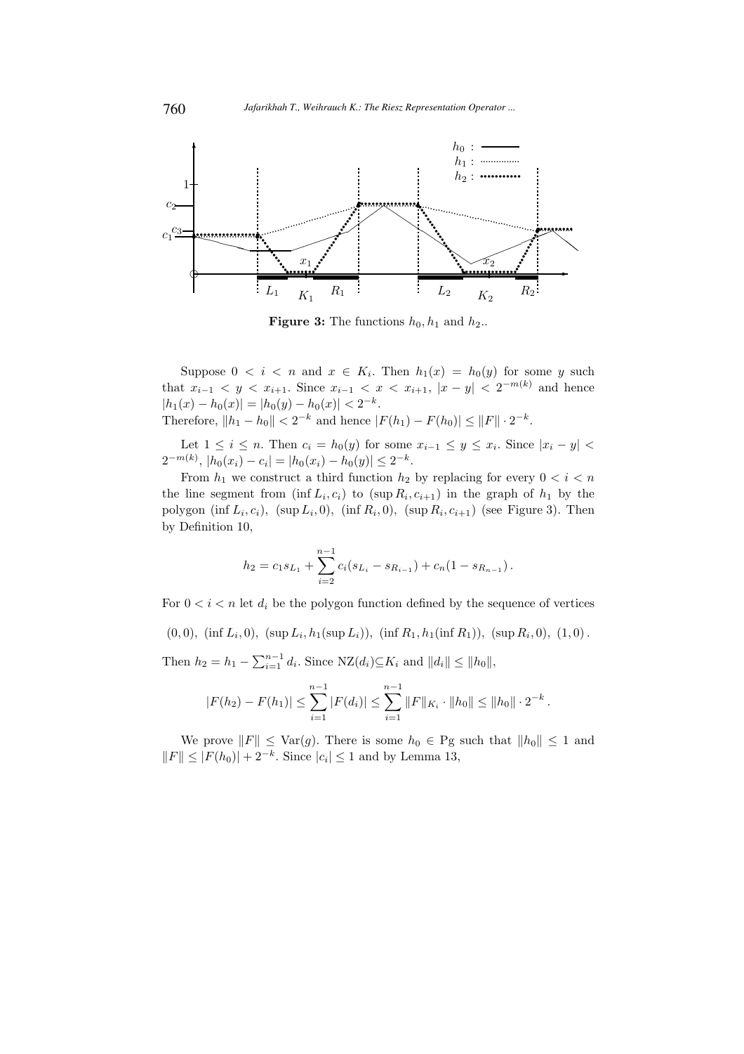

**Figure 3:** The functions  $h_0, h_1$  and  $h_2$ ..

Suppose  $0 \lt i \lt n$  and  $x \in K_i$ . Then  $h_1(x) = h_0(y)$  for some y such that  $x_{i-1} < y < x_{i+1}$ . Since  $x_{i-1} < x < x_{i+1}$ ,  $|x-y| < 2^{-m(k)}$  and hence  $|h_1(x) - h_0(x)| = |h_0(y) - h_0(x)| < 2^{-k}.$ Therefore,  $||h_1 - h_0|| < 2^{-k}$  and hence  $|F(h_1) - F(h_0)| \le ||F|| \cdot 2^{-k}$ .

Let  $1 \leq i \leq n$ . Then  $c_i = h_0(y)$  for some  $x_{i-1} \leq y \leq x_i$ . Since  $|x_i - y|$  $2^{-m(k)}$ ,  $|h_0(x_i) - c_i| = |h_0(x_i) - h_0(y)| \leq 2^{-k}$ .

From  $h_1$  we construct a third function  $h_2$  by replacing for every  $0 < i < n$ the line segment from  $(\inf L_i, c_i)$  to  $(\sup R_i, c_{i+1})$  in the graph of  $h_1$  by the polygon  $(\inf L_i, c_i)$ ,  $(\sup L_i, 0)$ ,  $(\inf R_i, 0)$ ,  $(\sup R_i, c_{i+1})$  (see Figure 3). Then by Definition 10,

$$
h_2 = c_1 s_{L_1} + \sum_{i=2}^{n-1} c_i (s_{L_i} - s_{R_{i-1}}) + c_n (1 - s_{R_{n-1}}).
$$

For  $0 \lt i \lt n$  let  $d_i$  be the polygon function defined by the sequence of vertices

 $(0,0)$ ,  $(\inf L_i, 0)$ ,  $(\sup L_i, h_1(\sup L_i))$ ,  $(\inf R_1, h_1(\inf R_1))$ ,  $(\sup R_i, 0)$ ,  $(1,0)$ .

Then  $h_2 = h_1 - \sum_{i=1}^{n-1} d_i$ . Since  $NZ(d_i) \subseteq K_i$  and  $||d_i|| \le ||h_0||$ ,

$$
|F(h_2) - F(h_1)| \leq \sum_{i=1}^{n-1} |F(d_i)| \leq \sum_{i=1}^{n-1} ||F||_{K_i} \cdot ||h_0|| \leq ||h_0|| \cdot 2^{-k}.
$$

We prove  $||F|| \leq \text{Var}(g)$ . There is some  $h_0 \in \text{Pg}$  such that  $||h_0|| \leq 1$  and  $||F|| \leq |F(h_0)| + 2^{-k}$ . Since  $|c_i| \leq 1$  and by Lemma 13,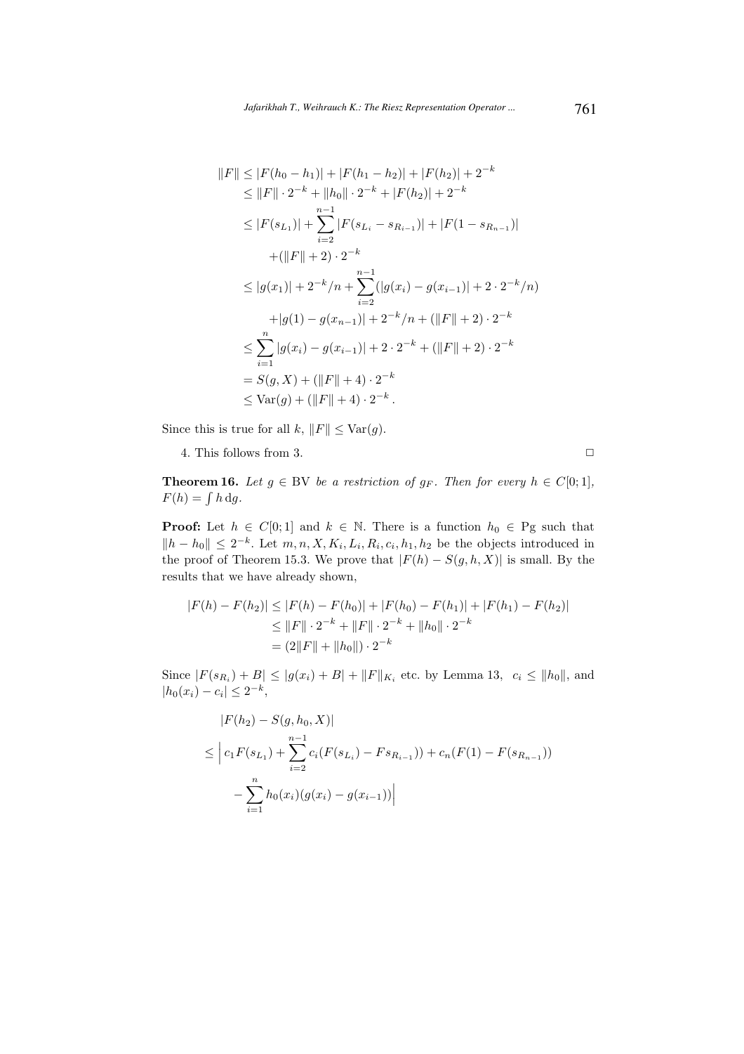$$
||F|| \leq |F(h_0 - h_1)| + |F(h_1 - h_2)| + |F(h_2)| + 2^{-k}
$$
  
\n
$$
\leq ||F|| \cdot 2^{-k} + ||h_0|| \cdot 2^{-k} + |F(h_2)| + 2^{-k}
$$
  
\n
$$
\leq |F(s_{L_1})| + \sum_{i=2}^{n-1} |F(s_{L_i} - s_{R_{i-1}})| + |F(1 - s_{R_{n-1}})|
$$
  
\n
$$
+ (||F|| + 2) \cdot 2^{-k}
$$
  
\n
$$
\leq |g(x_1)| + 2^{-k}/n + \sum_{i=2}^{n-1} (|g(x_i) - g(x_{i-1})| + 2 \cdot 2^{-k}/n)
$$
  
\n
$$
+ |g(1) - g(x_{n-1})| + 2^{-k}/n + (||F|| + 2) \cdot 2^{-k}
$$
  
\n
$$
\leq \sum_{i=1}^{n} |g(x_i) - g(x_{i-1})| + 2 \cdot 2^{-k} + (||F|| + 2) \cdot 2^{-k}
$$
  
\n
$$
= S(g, X) + (||F|| + 4) \cdot 2^{-k}
$$
  
\n
$$
\leq \text{Var}(g) + (||F|| + 4) \cdot 2^{-k}.
$$

Since this is true for all  $k, ||F|| \leq \text{Var}(g)$ .

4. This follows from 3.  $\Box$ 

**Theorem 16.** Let  $g \in BV$  be a restriction of  $g_F$ . Then for every  $h \in C[0;1]$ ,  $F(h) = \int h \, dg.$ 

**Proof:** Let  $h \in C[0,1]$  and  $k \in \mathbb{N}$ . There is a function  $h_0 \in \text{Pg}$  such that  $||h - h_0|| \leq 2^{-k}$ . Let  $m, n, X, K_i, L_i, R_i, c_i, h_1, h_2$  be the objects introduced in the proof of Theorem 15.3. We prove that  $|F(h) - S(g, h, X)|$  is small. By the results that we have already shown,

$$
|F(h) - F(h_2)| \le |F(h) - F(h_0)| + |F(h_0) - F(h_1)| + |F(h_1) - F(h_2)|
$$
  
\n
$$
\le ||F|| \cdot 2^{-k} + ||F|| \cdot 2^{-k} + ||h_0|| \cdot 2^{-k}
$$
  
\n
$$
= (2||F|| + ||h_0||) \cdot 2^{-k}
$$

Since  $|F(s_{R_i}) + B| \le |g(x_i) + B| + ||F||_{K_i}$  etc. by Lemma 13,  $c_i \le ||h_0||$ , and  $|h_0(x_i) - c_i| \leq 2^{-k},$ 

$$
|F(h_2) - S(g, h_0, X)|
$$
  
\n
$$
\leq |c_1 F(s_{L_1}) + \sum_{i=2}^{n-1} c_i (F(s_{L_i}) - Fs_{R_{i-1}})) + c_n (F(1) - F(s_{R_{n-1}}))
$$
  
\n
$$
- \sum_{i=1}^{n} h_0(x_i) (g(x_i) - g(x_{i-1}))
$$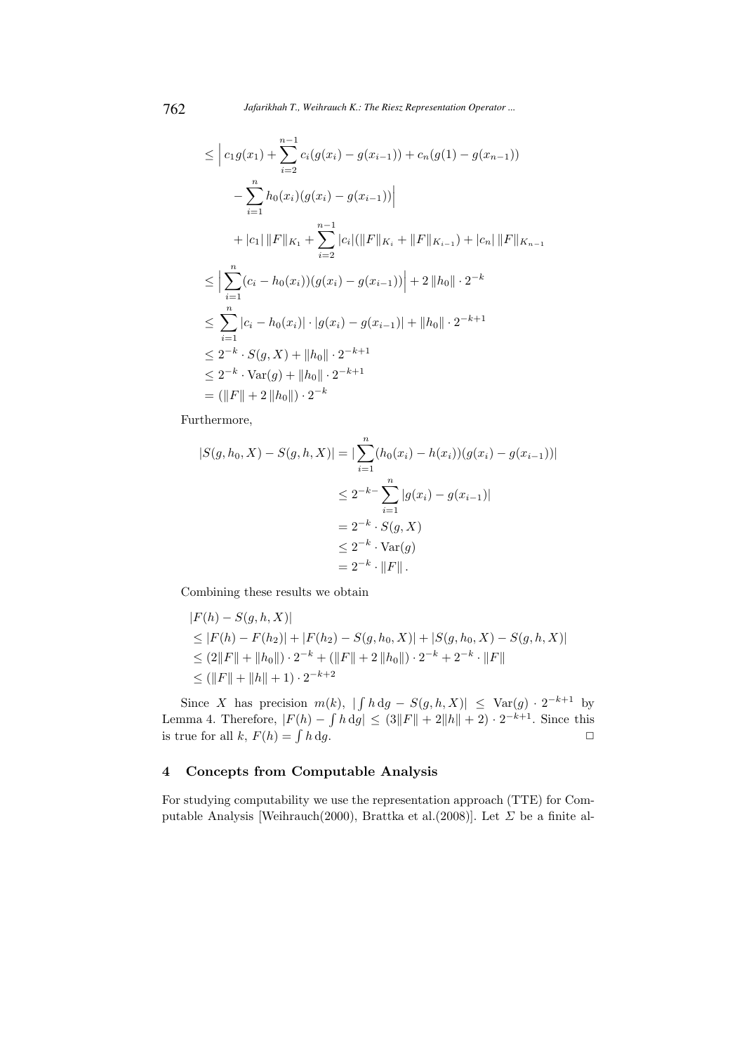$$
\leq |c_1 g(x_1) + \sum_{i=2}^{n-1} c_i (g(x_i) - g(x_{i-1})) + c_n (g(1) - g(x_{n-1}))
$$
  
\n
$$
- \sum_{i=1}^n h_0(x_i) (g(x_i) - g(x_{i-1}))|
$$
  
\n
$$
+ |c_1| ||F||_{K_1} + \sum_{i=2}^{n-1} |c_i| (||F||_{K_i} + ||F||_{K_{i-1}}) + |c_n| ||F||_{K_{n-1}}
$$
  
\n
$$
\leq |\sum_{i=1}^n (c_i - h_0(x_i)) (g(x_i) - g(x_{i-1}))| + 2 ||h_0|| \cdot 2^{-k}
$$
  
\n
$$
\leq \sum_{i=1}^n |c_i - h_0(x_i)| \cdot |g(x_i) - g(x_{i-1})| + ||h_0|| \cdot 2^{-k+1}
$$
  
\n
$$
\leq 2^{-k} \cdot S(g, X) + ||h_0|| \cdot 2^{-k+1}
$$
  
\n
$$
= (||F|| + 2 ||h_0||) \cdot 2^{-k}
$$

Furthermore,

$$
|S(g, h_0, X) - S(g, h, X)| = \left| \sum_{i=1}^{n} (h_0(x_i) - h(x_i))(g(x_i) - g(x_{i-1})) \right|
$$
  

$$
\leq 2^{-k-1} \sum_{i=1}^{n} |g(x_i) - g(x_{i-1})|
$$
  

$$
= 2^{-k} \cdot S(g, X)
$$
  

$$
\leq 2^{-k} \cdot \text{Var}(g)
$$
  

$$
= 2^{-k} \cdot ||F||.
$$

Combining these results we obtain

$$
|F(h) - S(g, h, X)|
$$
  
\n
$$
\leq |F(h) - F(h_2)| + |F(h_2) - S(g, h_0, X)| + |S(g, h_0, X) - S(g, h, X)|
$$
  
\n
$$
\leq (2||F|| + ||h_0||) \cdot 2^{-k} + (||F|| + 2||h_0||) \cdot 2^{-k} + 2^{-k} \cdot ||F||
$$
  
\n
$$
\leq (||F|| + ||h|| + 1) \cdot 2^{-k+2}
$$

Since X has precision  $m(k)$ ,  $\left| \int h \, dg - S(g, h, X) \right| \leq \text{Var}(g) \cdot 2^{-k+1}$  by Lemma 4. Therefore,  $|F(h) - \int h \, dg| \leq (3||F|| + 2||h|| + 2) \cdot 2^{-k+1}$ . Since this is true for all k,  $F(h) = \int h \, dg$ .  $h \, dg.$ 

# 4 Concepts from Computable Analysis

For studying computability we use the representation approach (TTE) for Computable Analysis [Weihrauch(2000), Brattka et al.(2008)]. Let  $\Sigma$  be a finite al-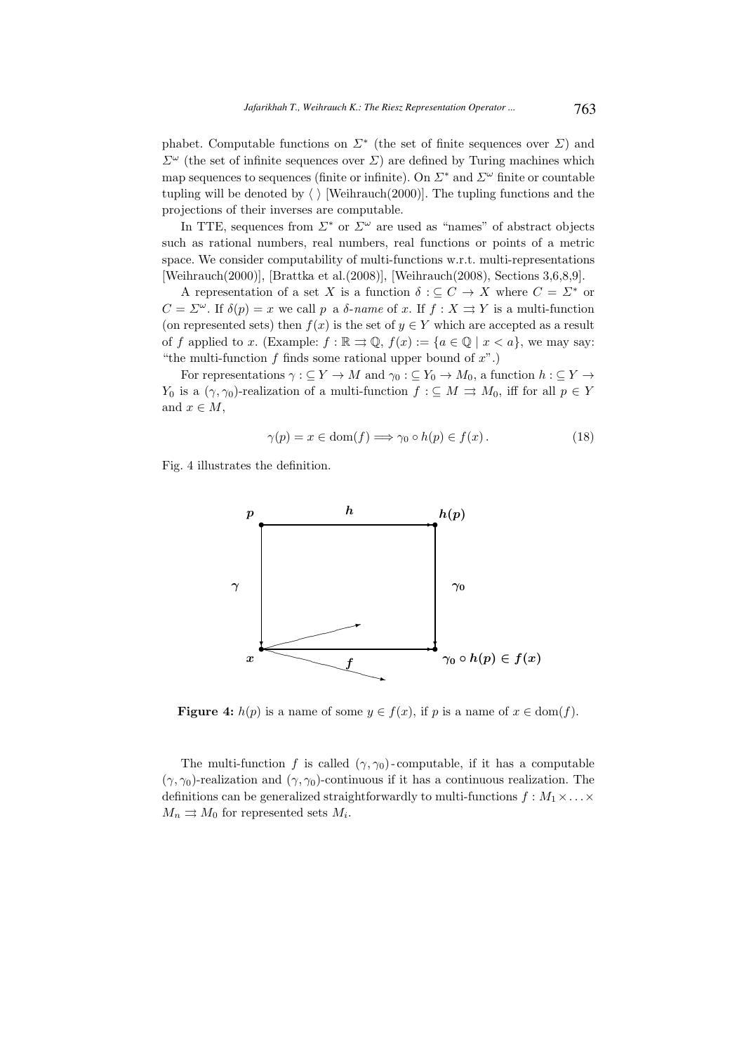phabet. Computable functions on  $\Sigma^*$  (the set of finite sequences over  $\Sigma$ ) and  $\Sigma^{\omega}$  (the set of infinite sequences over  $\Sigma$ ) are defined by Turing machines which map sequences to sequences (finite or infinite). On  $\Sigma^*$  and  $\Sigma^{\omega}$  finite or countable tupling will be denoted by  $\langle \ \rangle$  [Weihrauch(2000)]. The tupling functions and the projections of their inverses are computable.

In TTE, sequences from  $\Sigma^*$  or  $\Sigma^{\omega}$  are used as "names" of abstract objects such as rational numbers, real numbers, real functions or points of a metric space. We consider computability of multi-functions w.r.t. multi-representations [Weihrauch(2000)], [Brattka et al.(2008)], [Weihrauch(2008), Sections 3,6,8,9].

A representation of a set X is a function  $\delta : \subseteq C \to X$  where  $C = \Sigma^*$  or  $C = \Sigma^{\omega}$ . If  $\delta(p) = x$  we call p a  $\delta$ -name of x. If  $f : X \rightrightarrows Y$  is a multi-function (on represented sets) then  $f(x)$  is the set of  $y \in Y$  which are accepted as a result of f applied to x. (Example:  $f : \mathbb{R} \rightrightarrows \mathbb{Q}$ ,  $f(x) := \{a \in \mathbb{Q} \mid x < a\}$ , we may say: "the multi-function f finds some rational upper bound of  $x$ ".)

For representations  $\gamma : \subseteq Y \to M$  and  $\gamma_0 : \subseteq Y_0 \to M_0$ , a function  $h : \subseteq Y \to M$  $Y_0$  is a  $(\gamma, \gamma_0)$ -realization of a multi-function  $f : \subseteq M \implies M_0$ , iff for all  $p \in Y$ and  $x \in M$ ,

$$
\gamma(p) = x \in \text{dom}(f) \Longrightarrow \gamma_0 \circ h(p) \in f(x). \tag{18}
$$

Fig. 4 illustrates the definition.



**Figure 4:**  $h(p)$  is a name of some  $y \in f(x)$ , if p is a name of  $x \in \text{dom}(f)$ .

The multi-function f is called  $(\gamma, \gamma_0)$ -computable, if it has a computable  $(\gamma, \gamma_0)$ -realization and  $(\gamma, \gamma_0)$ -continuous if it has a continuous realization. The definitions can be generalized straightforwardly to multi-functions  $f : M_1 \times \ldots \times$  $M_n \rightrightarrows M_0$  for represented sets  $M_i$ .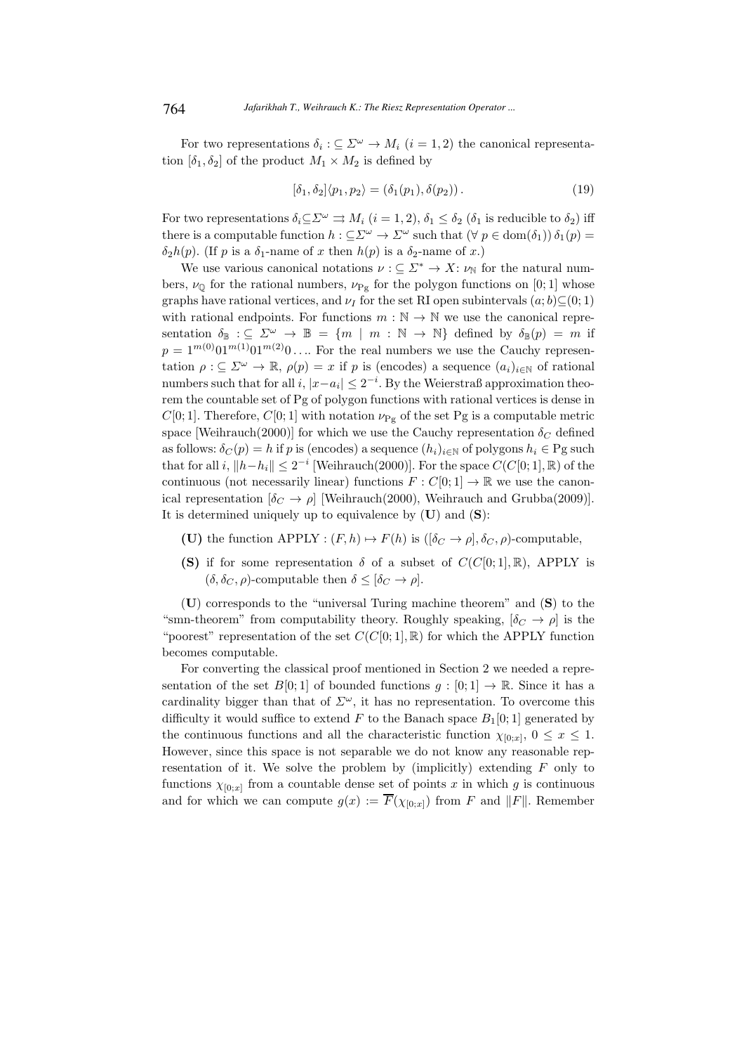For two representations  $\delta_i : \subseteq \Sigma^{\omega} \to M_i$   $(i = 1, 2)$  the canonical representation  $[\delta_1, \delta_2]$  of the product  $M_1 \times M_2$  is defined by

$$
[\delta_1, \delta_2] \langle p_1, p_2 \rangle = (\delta_1(p_1), \delta(p_2)). \tag{19}
$$

For two representations  $\delta_i \subseteq \Sigma^\omega \Rightarrow M_i$   $(i = 1, 2), \delta_1 \leq \delta_2$   $(\delta_1$  is reducible to  $\delta_2$ ) iff there is a computable function  $h : \subseteq \Sigma^{\omega} \to \Sigma^{\omega}$  such that  $(\forall p \in \text{dom}(\delta_1)) \delta_1(p) =$  $\delta_2h(p)$ . (If p is a  $\delta_1$ -name of x then  $h(p)$  is a  $\delta_2$ -name of x.)

We use various canonical notations  $\nu : \subseteq \Sigma^* \to X: \nu_{\mathbb{N}}$  for the natural numbers,  $\nu_{\mathbb{Q}}$  for the rational numbers,  $\nu_{\text{Pg}}$  for the polygon functions on [0; 1] whose graphs have rational vertices, and  $\nu_I$  for the set RI open subintervals  $(a; b) \subseteq (0; 1)$ with rational endpoints. For functions  $m : \mathbb{N} \to \mathbb{N}$  we use the canonical representation  $\delta_{\mathbb{B}} : \subseteq \Sigma^{\omega} \to \mathbb{B} = \{m \mid m : \mathbb{N} \to \mathbb{N}\}\$  defined by  $\delta_{\mathbb{B}}(p) = m$  if  $p = 1^{m(0)} 01^{m(1)} 01^{m(2)} 0 \ldots$  For the real numbers we use the Cauchy representation  $\rho : \subseteq \Sigma^{\omega} \to \mathbb{R}$ ,  $\rho(p) = x$  if p is (encodes) a sequence  $(a_i)_{i \in \mathbb{N}}$  of rational numbers such that for all  $i, |x-a_i| \leq 2^{-i}$ . By the Weierstraß approximation theorem the countable set of Pg of polygon functions with rational vertices is dense in  $C[0; 1]$ . Therefore,  $C[0; 1]$  with notation  $\nu_{\text{Pg}}$  of the set Pg is a computable metric space [Weihrauch(2000)] for which we use the Cauchy representation  $\delta_C$  defined as follows:  $\delta_C(p) = h$  if p is (encodes) a sequence  $(h_i)_{i \in \mathbb{N}}$  of polygons  $h_i \in \text{Pg such}$ that for all i,  $||h-h_i|| \leq 2^{-i}$  [Weihrauch(2000)]. For the space  $C(C[0;1], \mathbb{R})$  of the continuous (not necessarily linear) functions  $F: C[0; 1] \to \mathbb{R}$  we use the canonical representation  $[\delta_C \rightarrow \rho]$  [Weihrauch(2000), Weihrauch and Grubba(2009)]. It is determined uniquely up to equivalence by  $(U)$  and  $(S)$ :

- (U) the function APPLY :  $(F, h) \mapsto F(h)$  is  $([\delta_C \to \rho], \delta_C, \rho)$ -computable,
- (S) if for some representation  $\delta$  of a subset of  $C(C[0; 1], \mathbb{R})$ , APPLY is  $(\delta, \delta_C, \rho)$ -computable then  $\delta \leq [\delta_C \to \rho].$

(U) corresponds to the "universal Turing machine theorem" and (S) to the "smn-theorem" from computability theory. Roughly speaking,  $[\delta_C \rightarrow \rho]$  is the "poorest" representation of the set  $C(C[0; 1], \mathbb{R})$  for which the APPLY function becomes computable.

For converting the classical proof mentioned in Section 2 we needed a representation of the set  $B[0;1]$  of bounded functions  $g:[0;1] \to \mathbb{R}$ . Since it has a cardinality bigger than that of  $\Sigma^{\omega}$ , it has no representation. To overcome this difficulty it would suffice to extend F to the Banach space  $B_1[0;1]$  generated by the continuous functions and all the characteristic function  $\chi_{[0;x]}$ ,  $0 \leq x \leq 1$ . However, since this space is not separable we do not know any reasonable representation of it. We solve the problem by (implicitly) extending  $F$  only to functions  $\chi_{[0;x]}$  from a countable dense set of points x in which g is continuous and for which we can compute  $g(x) := \overline{F}(\chi_{[0,x]})$  from F and  $||F||$ . Remember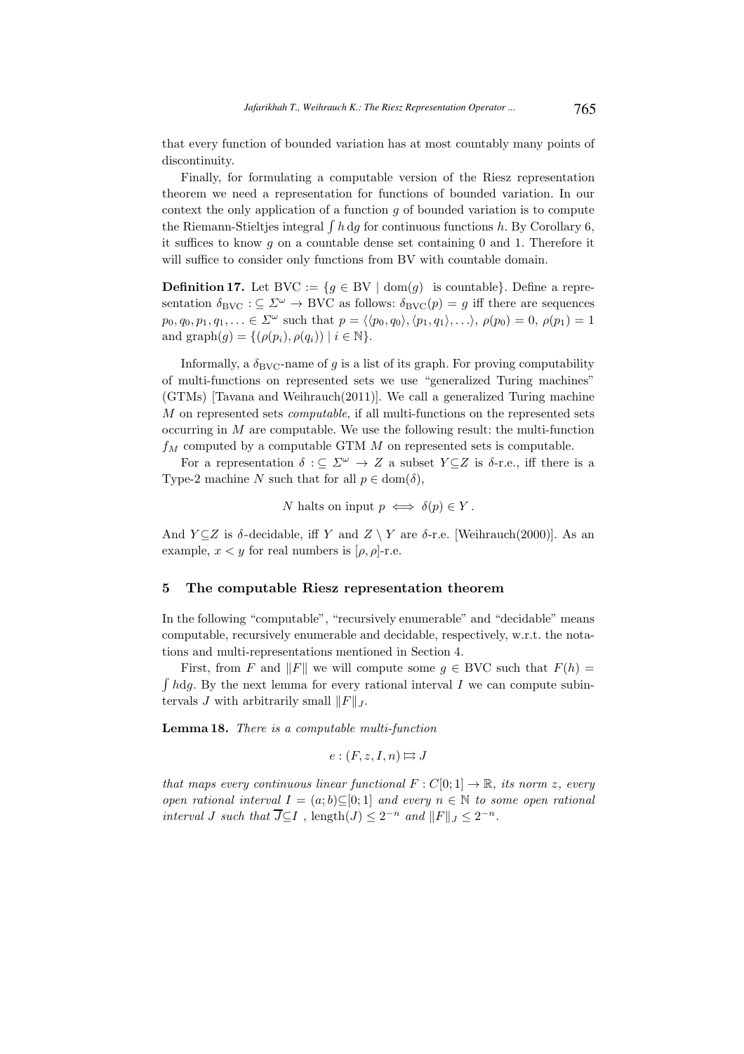that every function of bounded variation has at most countably many points of discontinuity.

Finally, for formulating a computable version of the Riesz representation theorem we need a representation for functions of bounded variation. In our context the only application of a function  $g$  of bounded variation is to compute the Riemann-Stieltjes integral  $\int h \, dg$  for continuous functions h. By Corollary 6, it suffices to know q on a countable dense set containing  $0$  and  $1$ . Therefore it will suffice to consider only functions from BV with countable domain.

**Definition 17.** Let BVC := { $g \in BV$  | dom(g) is countable}. Define a representation  $\delta_{\rm BVC} : \subseteq \Sigma^\omega \to {\rm BVC}$  as follows:  $\delta_{\rm BVC}(p) = g$  iff there are sequences  $p_0, q_0, p_1, q_1, \ldots \in \Sigma^{\omega}$  such that  $p = \langle \langle p_0, q_0 \rangle, \langle p_1, q_1 \rangle, \ldots \rangle, \rho(p_0) = 0, \rho(p_1) = 1$ and graph $(g) = \{(\rho(p_i), \rho(q_i)) \mid i \in \mathbb{N}\}.$ 

Informally, a  $\delta_{\rm BVC}$ -name of g is a list of its graph. For proving computability of multi-functions on represented sets we use "generalized Turing machines" (GTMs) [Tavana and Weihrauch(2011)]. We call a generalized Turing machine M on represented sets *computable*, if all multi-functions on the represented sets occurring in  $M$  are computable. We use the following result: the multi-function  $f_M$  computed by a computable GTM  $M$  on represented sets is computable.

For a representation  $\delta : \subseteq \Sigma^{\omega} \to Z$  a subset  $Y \subseteq Z$  is  $\delta$ -r.e., iff there is a Type-2 machine N such that for all  $p \in \text{dom}(\delta)$ ,

N halts on input 
$$
p \iff \delta(p) \in Y
$$
.

And  $Y \subseteq Z$  is  $\delta$ -decidable, iff Y and  $Z \setminus Y$  are  $\delta$ -r.e. [Weihrauch(2000)]. As an example,  $x < y$  for real numbers is  $[\rho, \rho]$ -r.e.

#### 5 The computable Riesz representation theorem

In the following "computable", "recursively enumerable" and "decidable" means computable, recursively enumerable and decidable, respectively, w.r.t. the notations and multi-representations mentioned in Section 4.

First, from F and  $||F||$  we will compute some  $g \in BVC$  such that  $F(h) =$  $\int h \, dg$ . By the next lemma for every rational interval I we can compute subintervals J with arbitrarily small  $||F||_J$ .

Lemma 18. There is a computable multi-function

$$
e:(F,z,I,n)\mapsto J
$$

that maps every continuous linear functional  $F: C[0, 1] \to \mathbb{R}$ , its norm z, every open rational interval  $I = (a, b) \subseteq [0, 1]$  and every  $n \in \mathbb{N}$  to some open rational interval J such that  $\overline{J} \subseteq I$ , length $(J) \leq 2^{-n}$  and  $||F||_J \leq 2^{-n}$ .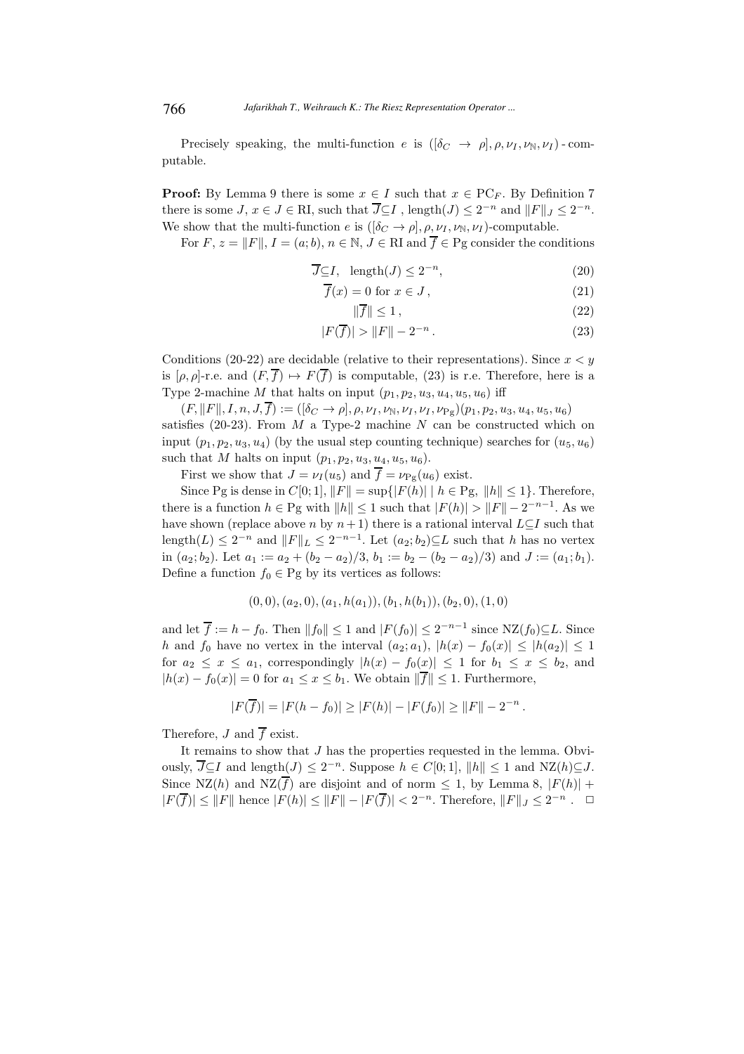Precisely speaking, the multi-function e is  $([\delta_C \rightarrow \rho], \rho, \nu_I, \nu_{\mathbb{N}}, \nu_I)$ -computable.

**Proof:** By Lemma 9 there is some  $x \in I$  such that  $x \in PC_F$ . By Definition 7 there is some  $J, x \in J \in \mathbb{R}$ , such that  $\overline{J} \subseteq I$ , length $(J) \leq 2^{-n}$  and  $||F||_J \leq 2^{-n}$ . We show that the multi-function e is  $([\delta_C \to \rho], \rho, \nu_I, \nu_{\mathbb{N}}, \nu_I)$ -computable.

For F,  $z = ||F||$ ,  $I = (a, b)$ ,  $n \in \mathbb{N}$ ,  $J \in \mathbb{R}$ I and  $\overline{f} \in \mathbb{P}$ g consider the conditions

$$
\overline{J} \subseteq I, \ \ \text{length}(J) \le 2^{-n}, \tag{20}
$$

$$
\overline{f}(x) = 0 \text{ for } x \in J,
$$
\n(21)

$$
\|\overline{f}\| \le 1\,,\tag{22}
$$

$$
|F(\overline{f})| > ||F|| - 2^{-n}.
$$
\n(23)

Conditions (20-22) are decidable (relative to their representations). Since  $x < y$ is  $[\rho, \rho]$ -r.e. and  $(F, \overline{f}) \mapsto F(\overline{f})$  is computable, (23) is r.e. Therefore, here is a Type 2-machine M that halts on input  $(p_1, p_2, u_3, u_4, u_5, u_6)$  iff

 $(F, ||F||, I, n, J, \overline{f}) := ( [\delta_C \rightarrow \rho], \rho, \nu_I, \nu_N, \nu_I, \nu_{I}, \nu_{Pg})(p_1, p_2, u_3, u_4, u_5, u_6)$ satisfies (20-23). From  $M$  a Type-2 machine  $N$  can be constructed which on input  $(p_1, p_2, u_3, u_4)$  (by the usual step counting technique) searches for  $(u_5, u_6)$ such that M halts on input  $(p_1, p_2, u_3, u_4, u_5, u_6)$ .

First we show that  $J = \nu_I(u_5)$  and  $\overline{f} = \nu_{\text{Pg}}(u_6)$  exist.

Since Pg is dense in  $C[0; 1]$ ,  $||F|| = \sup\{|F(h)| \mid h \in \text{Pg}, \|h\| \leq 1\}$ . Therefore, there is a function  $h \in \text{Pg with } ||h|| \leq 1$  such that  $|F(h)| > ||F|| - 2^{-n-1}$ . As we have shown (replace above n by  $n+1$ ) there is a rational interval  $L\subseteq I$  such that length $(L) \leq 2^{-n}$  and  $||F||_L \leq 2^{-n-1}$ . Let  $(a_2; b_2) \subseteq L$  such that h has no vertex in  $(a_2; b_2)$ . Let  $a_1 := a_2 + (b_2 - a_2)/3$ ,  $b_1 := b_2 - (b_2 - a_2)/3$  and  $J := (a_1; b_1)$ . Define a function  $f_0 \in \text{Pg}$  by its vertices as follows:

$$
(0,0), (a_2,0), (a_1,h(a_1)), (b_1,h(b_1)), (b_2,0), (1,0)
$$

and let  $\overline{f} := h - f_0$ . Then  $||f_0|| \leq 1$  and  $|F(f_0)| \leq 2^{-n-1}$  since  $NZ(f_0) \subseteq L$ . Since h and  $f_0$  have no vertex in the interval  $(a_2; a_1)$ ,  $|h(x) - f_0(x)| \leq |h(a_2)| \leq 1$ for  $a_2 \leq x \leq a_1$ , correspondingly  $|h(x) - f_0(x)| \leq 1$  for  $b_1 \leq x \leq b_2$ , and  $|h(x) - f_0(x)| = 0$  for  $a_1 \leq x \leq b_1$ . We obtain  $\|\overline{f}\| \leq 1$ . Furthermore,

$$
|F(\overline{f})| = |F(h - f_0)| \ge |F(h)| - |F(f_0)| \ge ||F|| - 2^{-n}.
$$

Therefore, J and  $\overline{f}$  exist.

It remains to show that J has the properties requested in the lemma. Obviously,  $\overline{J} \subseteq I$  and length $(J) \leq 2^{-n}$ . Suppose  $h \in C[0,1]$ ,  $||h|| ≤ 1$  and  $NZ(h) ⊆ J$ . Since NZ(h) and NZ $(\overline{f})$  are disjoint and of norm  $\leq 1$ , by Lemma 8,  $|F(h)| +$  $|F(\overline{f})| \leq ||F||$  hence  $|F(h)| \leq ||F|| - |F(\overline{f})| < 2^{-n}$ . Therefore,  $||F||_J \leq 2^{-n}$ .  $\Box$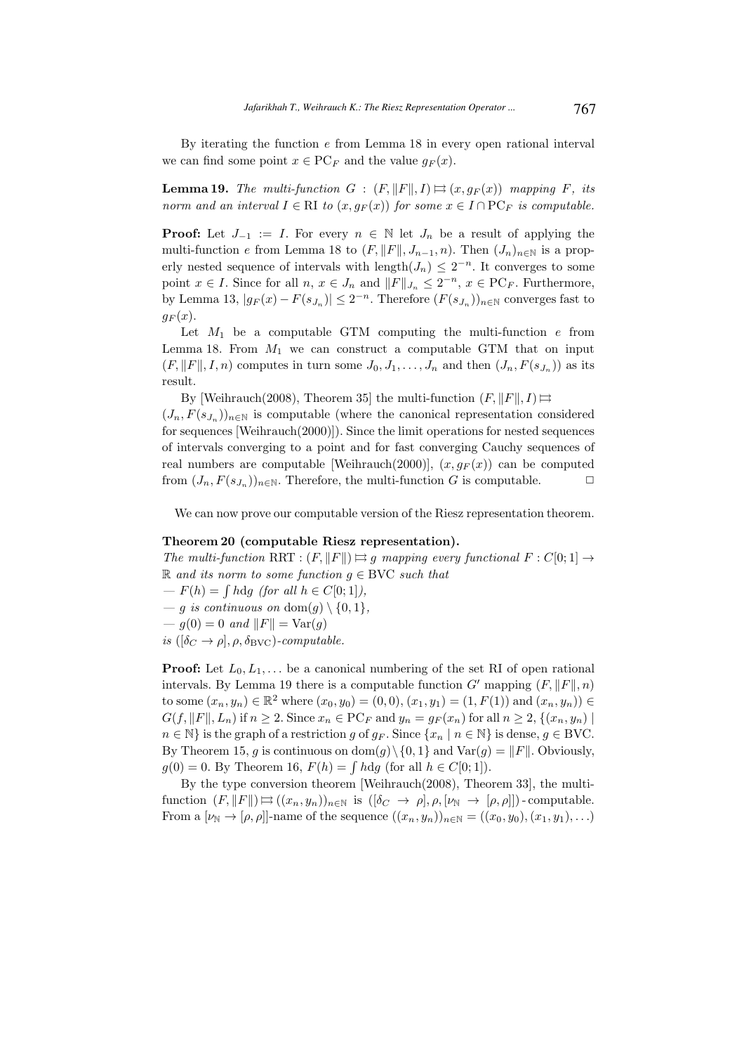By iterating the function e from Lemma 18 in every open rational interval we can find some point  $x \in PC_F$  and the value  $q_F(x)$ .

**Lemma 19.** The multi-function  $G : (F, ||F||, I) \Rightarrow (x, g_F(x))$  mapping F, its norm and an interval  $I \in \mathbb{R}$ I to  $(x, g_F(x))$  for some  $x \in I \cap \text{PC}_F$  is computable.

**Proof:** Let  $J_{-1} := I$ . For every  $n \in \mathbb{N}$  let  $J_n$  be a result of applying the multi-function e from Lemma 18 to  $(F, ||F||, J_{n-1}, n)$ . Then  $(J_n)_{n \in \mathbb{N}}$  is a properly nested sequence of intervals with  $\text{length}(J_n) \leq 2^{-n}$ . It converges to some point  $x \in I$ . Since for all  $n, x \in J_n$  and  $||F||_{J_n} \leq 2^{-n}, x \in \text{PC}_F$ . Furthermore, by Lemma 13,  $|g_F(x) - F(s_{J_n})| \leq 2^{-n}$ . Therefore  $(F(s_{J_n}))_{n \in \mathbb{N}}$  converges fast to  $g_F(x)$ .

Let  $M_1$  be a computable GTM computing the multi-function  $e$  from Lemma 18. From  $M_1$  we can construct a computable GTM that on input  $(F, ||F||, I, n)$  computes in turn some  $J_0, J_1, \ldots, J_n$  and then  $(J_n, F(s_{J_n}))$  as its result.

By [Weihrauch(2008), Theorem 35] the multi-function  $(F, ||F||, I) \implies$ 

 $(J_n, F(s_{J_n}))_{n \in \mathbb{N}}$  is computable (where the canonical representation considered for sequences [Weihrauch(2000)]). Since the limit operations for nested sequences of intervals converging to a point and for fast converging Cauchy sequences of real numbers are computable [Weihrauch(2000)],  $(x, g_F(x))$  can be computed from  $(J_n, F(s_{J_n}))_{n \in \mathbb{N}}$ . Therefore, the multi-function G is computable.

We can now prove our computable version of the Riesz representation theorem.

#### Theorem 20 (computable Riesz representation).

The multi-function RRT :  $(F, \|F\|) \implies q$  mapping every functional  $F : C[0, 1] \rightarrow$ R and its norm to some function  $g \in BVC$  such that

 $-F(h) = \int h \, dg$  (for all  $h \in C[0,1]$ ),

— q is continuous on  $\text{dom}(q) \setminus \{0, 1\},\$ 

 $-g(0) = 0$  and  $||F|| = Var(g)$ 

is  $([\delta_C \to \rho], \rho, \delta_{\text{BVC}})$ -computable.

**Proof:** Let  $L_0, L_1, \ldots$  be a canonical numbering of the set RI of open rational intervals. By Lemma 19 there is a computable function  $G'$  mapping  $(F, ||F||, n)$ to some  $(x_n, y_n) \in \mathbb{R}^2$  where  $(x_0, y_0) = (0, 0), (x_1, y_1) = (1, F(1))$  and  $(x_n, y_n) \in$  $G(f, ||F||, L_n)$  if  $n \geq 2$ . Since  $x_n \in PC_F$  and  $y_n = g_F(x_n)$  for all  $n \geq 2$ ,  $\{(x_n, y_n) \mid$  $n \in \mathbb{N}$  is the graph of a restriction g of  $g_F$ . Since  $\{x_n \mid n \in \mathbb{N}\}\$ is dense,  $g \in BVC$ . By Theorem 15, g is continuous on  $\text{dom}(g) \setminus \{0, 1\}$  and  $\text{Var}(g) = ||F||$ . Obviously,  $g(0) = 0$ . By Theorem 16,  $F(h) = \int h \, dg$  (for all  $h \in C[0, 1]$ ).

By the type conversion theorem [Weihrauch(2008), Theorem 33], the multifunction  $(F, ||F||) \rightrightarrows ((x_n, y_n))_{n \in \mathbb{N}}$  is  $([\delta_C \to \rho], \rho, [\nu_{\mathbb{N}} \to [\rho, \rho]])$ -computable. From a  $[\nu_{\mathbb{N}} \to [\rho, \rho]]$ -name of the sequence  $((x_n, y_n))_{n \in \mathbb{N}} = ((x_0, y_0), (x_1, y_1), \ldots)$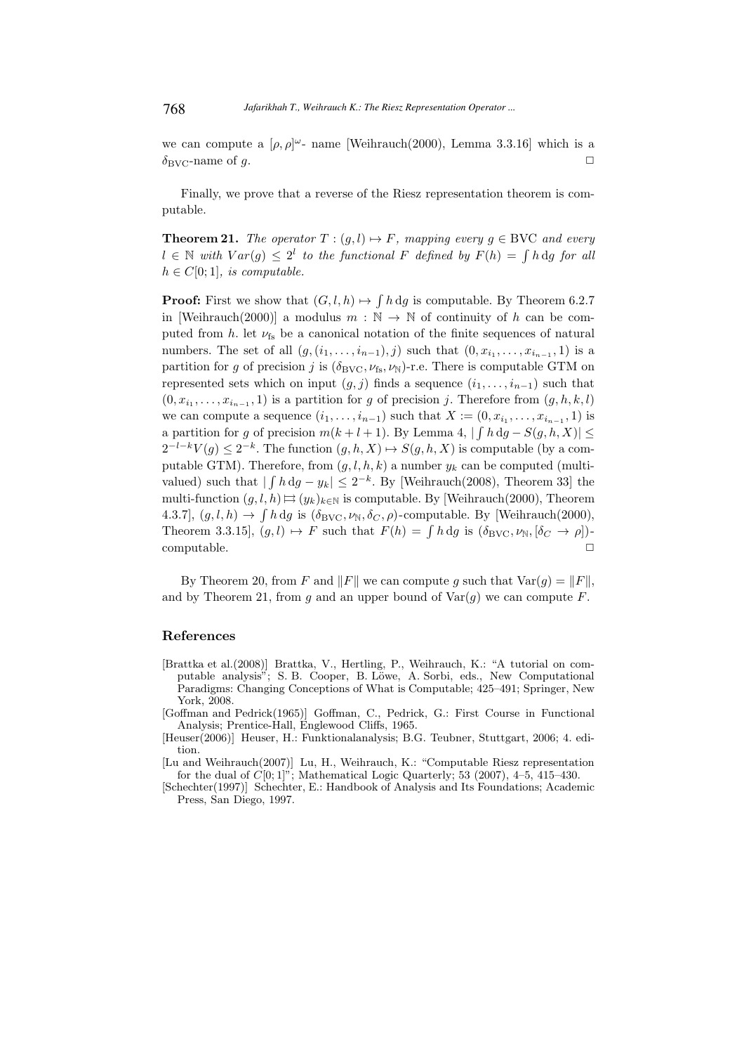we can compute a  $[\rho, \rho]$ <sup> $\omega$ </sup>- name [Weihrauch(2000), Lemma 3.3.16] which is a  $\delta_{\rm BVC}$ -name of q.  $\Box$ 

Finally, we prove that a reverse of the Riesz representation theorem is computable.

**Theorem 21.** The operator  $T : (g, l) \mapsto F$ , mapping every  $g \in BVC$  and every  $l \in \mathbb{N}$  with  $Var(g) \leq 2^l$  to the functional F defined by  $F(h) = \int h \, dg$  for all  $h \in C[0;1]$ , is computable.

**Proof:** First we show that  $(G, l, h) \mapsto \int h \, dg$  is computable. By Theorem 6.2.7 in [Weihrauch(2000)] a modulus  $m : \mathbb{N} \to \mathbb{N}$  of continuity of h can be computed from h. let  $\nu_{fs}$  be a canonical notation of the finite sequences of natural numbers. The set of all  $(g, (i_1, \ldots, i_{n-1}), j)$  such that  $(0, x_{i_1}, \ldots, x_{i_{n-1}}, 1)$  is a partition for g of precision j is  $(\delta_{\text{BVC}}, \nu_{\text{fs}}, \nu_{\text{N}})$ -r.e. There is computable GTM on represented sets which on input  $(g, j)$  finds a sequence  $(i_1, \ldots, i_{n-1})$  such that  $(0, x_{i_1}, \ldots, x_{i_{n-1}}, 1)$  is a partition for g of precision j. Therefore from  $(g, h, k, l)$ we can compute a sequence  $(i_1, \ldots, i_{n-1})$  such that  $X := (0, x_{i_1}, \ldots, x_{i_{n-1}}, 1)$  is a partition for g of precision  $m(k+l+1)$ . By Lemma 4,  $|\int h \, dg - S(g, h, X)| \le$  $2^{-l-k}V(g) \leq 2^{-k}$ . The function  $(g, h, X) \mapsto S(g, h, X)$  is computable (by a computable GTM). Therefore, from  $(g, l, h, k)$  a number  $y_k$  can be computed (multivalued) such that  $|\int h \, dg - y_k| \leq 2^{-k}$ . By [Weihrauch(2008), Theorem 33] the multi-function  $(g, l, h) \mapsto (y_k)_{k \in \mathbb{N}}$  is computable. By [Weihrauch(2000), Theorem 4.3.7],  $(g, l, h) \to \int h \, dg$  is  $(\delta_{\text{BVC}}, \nu_{\text{N}}, \delta_C, \rho)$ -computable. By [Weihrauch(2000), Theorem 3.3.15],  $(g, l) \mapsto F$  such that  $F(h) = \int h \, dg$  is  $(\delta_{\text{BVC}}, \nu_{\text{N}}, [\delta_C \to \rho])$ - $\Box$   $\Box$ 

By Theorem 20, from F and  $||F||$  we can compute g such that  $Var(g) = ||F||$ , and by Theorem 21, from q and an upper bound of  $Var(q)$  we can compute F.

#### References

- [Brattka et al.(2008)] Brattka, V., Hertling, P., Weihrauch, K.: "A tutorial on computable analysis"; S. B. Cooper, B. Löwe, A. Sorbi, eds., New Computational Paradigms: Changing Conceptions of What is Computable; 425–491; Springer, New York, 2008.
- [Goffman and Pedrick(1965)] Goffman, C., Pedrick, G.: First Course in Functional Analysis; Prentice-Hall, Englewood Cliffs, 1965.
- [Heuser(2006)] Heuser, H.: Funktionalanalysis; B.G. Teubner, Stuttgart, 2006; 4. edition.

[Lu and Weihrauch(2007)] Lu, H., Weihrauch, K.: "Computable Riesz representation for the dual of  $C[0; 1]$ "; Mathematical Logic Quarterly; 53 (2007), 4–5, 415–430.

[Schechter(1997)] Schechter, E.: Handbook of Analysis and Its Foundations; Academic Press, San Diego, 1997.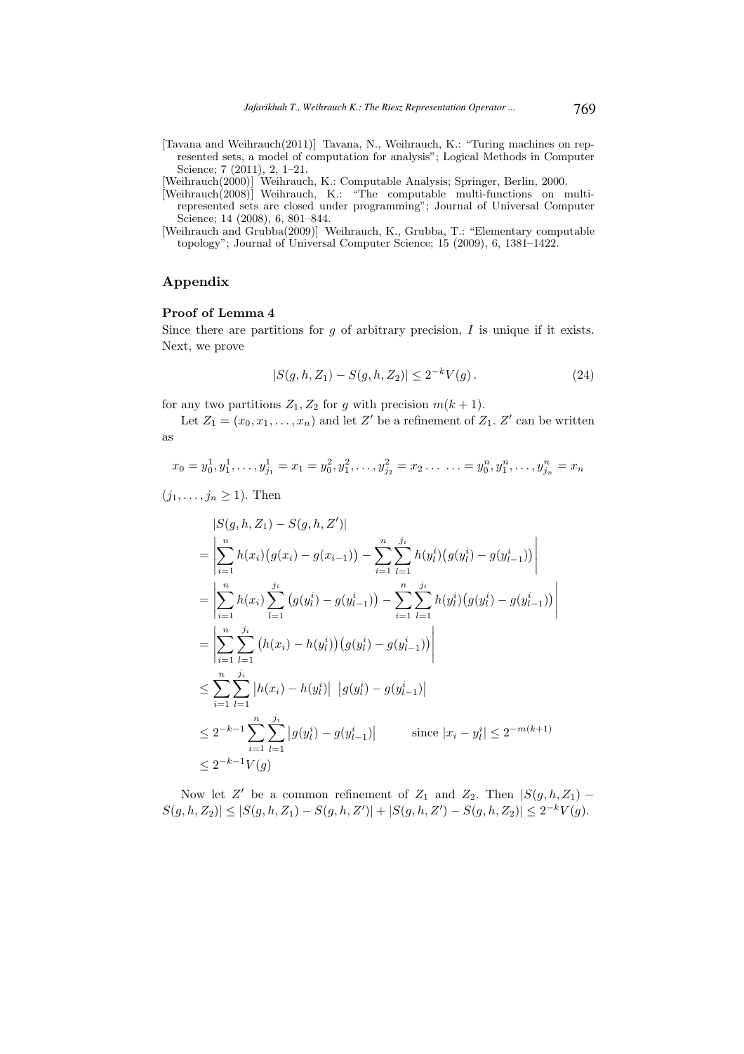[Tavana and Weihrauch(2011)] Tavana, N., Weihrauch, K.: "Turing machines on represented sets, a model of computation for analysis"; Logical Methods in Computer Science; 7 (2011), 2, 1–21.

[Weihrauch(2000)] Weihrauch, K.: Computable Analysis; Springer, Berlin, 2000.

- [Weihrauch(2008)] Weihrauch, K.: "The computable multi-functions on multirepresented sets are closed under programming"; Journal of Universal Computer Science; 14 (2008), 6, 801–844.
- [Weihrauch and Grubba(2009)] Weihrauch, K., Grubba, T.: "Elementary computable topology"; Journal of Universal Computer Science; 15 (2009), 6, 1381–1422.

# Appendix

### Proof of Lemma 4

Since there are partitions for  $q$  of arbitrary precision,  $I$  is unique if it exists. Next, we prove

$$
|S(g, h, Z_1) - S(g, h, Z_2)| \le 2^{-k} V(g).
$$
\n(24)

for any two partitions  $Z_1, Z_2$  for g with precision  $m(k + 1)$ .

Let  $Z_1 = (x_0, x_1, \ldots, x_n)$  and let Z' be a refinement of  $Z_1$ . Z' can be written as

$$
x_0 = y_0^1, y_1^1, \dots, y_{j_1}^1 = x_1 = y_0^2, y_1^2, \dots, y_{j_2}^2 = x_2 \dots \dots = y_0^n, y_1^n, \dots, y_{j_n}^n = x_n
$$

 $(j_1, \ldots, j_n \geq 1)$ . Then

$$
|S(g, h, Z_1) - S(g, h, Z')|
$$
  
\n
$$
= \left| \sum_{i=1}^{n} h(x_i) (g(x_i) - g(x_{i-1})) - \sum_{i=1}^{n} \sum_{l=1}^{j_i} h(y_l^i) (g(y_l^i) - g(y_{l-1}^i)) \right|
$$
  
\n
$$
= \left| \sum_{i=1}^{n} h(x_i) \sum_{l=1}^{j_i} (g(y_l^i) - g(y_{l-1}^i)) - \sum_{i=1}^{n} \sum_{l=1}^{j_i} h(y_l^i) (g(y_l^i) - g(y_{l-1}^i)) \right|
$$
  
\n
$$
= \left| \sum_{i=1}^{n} \sum_{l=1}^{j_i} (h(x_i) - h(y_l^i)) (g(y_l^i) - g(y_{l-1}^i)) \right|
$$
  
\n
$$
\leq \sum_{i=1}^{n} \sum_{l=1}^{j_i} |h(x_i) - h(y_l^i)| |g(y_l^i) - g(y_{l-1}^i)|
$$
  
\n
$$
\leq 2^{-k-1} \sum_{i=1}^{n} \sum_{l=1}^{j_i} |g(y_l^i) - g(y_{l-1}^i)| \quad \text{since } |x_i - y_l^i| \leq 2^{-m(k+1)}
$$
  
\n
$$
\leq 2^{-k-1} V(g)
$$

Now let Z' be a common refinement of  $Z_1$  and  $Z_2$ . Then  $|S(g, h, Z_1)$  –  $|S(g, h, Z_2)| \leq |S(g, h, Z_1) - S(g, h, Z')| + |S(g, h, Z') - S(g, h, Z_2)| \leq 2^{-k} V(g).$